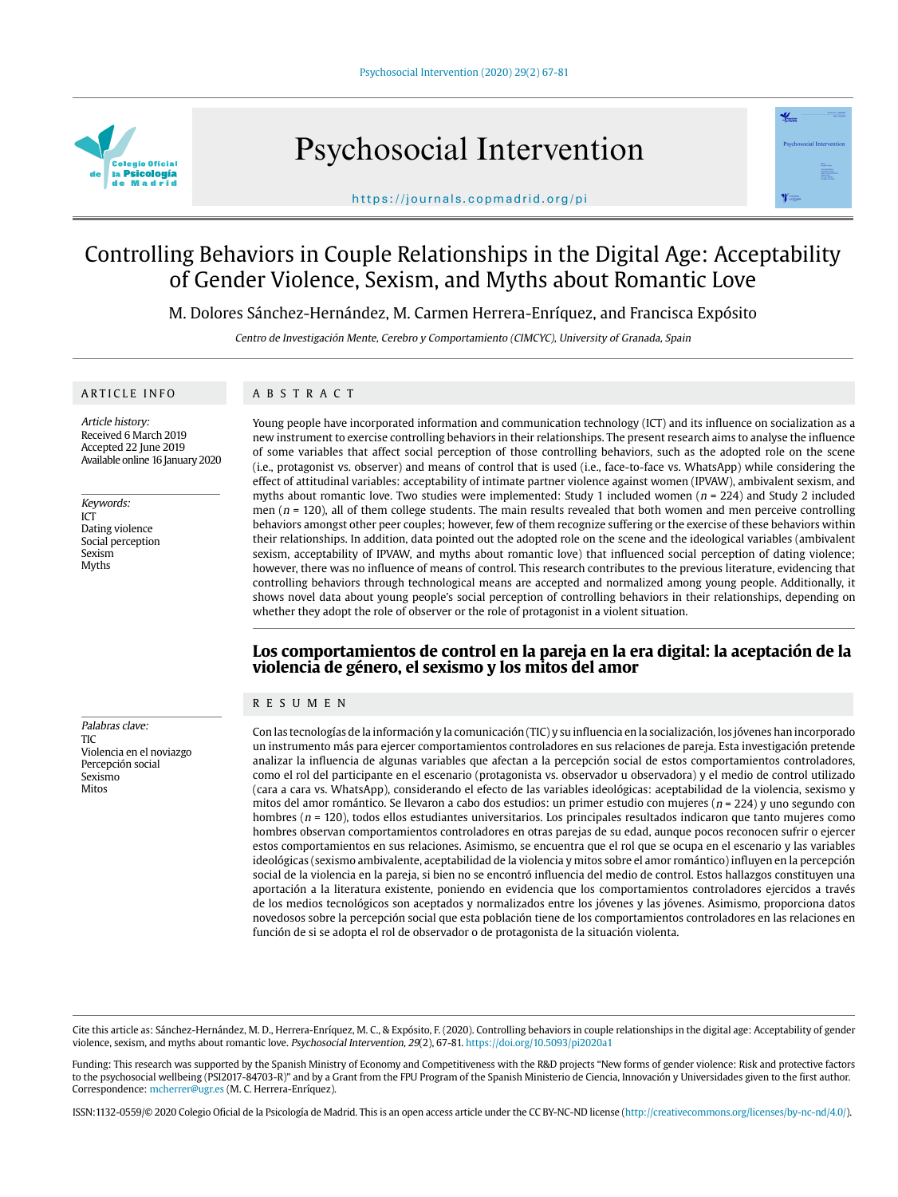

Psychosocial Intervention



https://journals.copmadrid.org/pi

# Controlling Behaviors in Couple Relationships in the Digital Age: Acceptability of Gender Violence, Sexism, and Myths about Romantic Love

M. Dolores Sánchez-Hernández, M. Carmen Herrera-Enríquez, and Francisca Expósito

Centro de Investigación Mente, Cerebro y Comportamiento (CIMCYC), University of Granada, Spain

#### ARTICLE INFO

## ABSTRACT

Article history: Received 6 March 2019 Accepted 22 June 2019 Available online 16 January 2020

Keywords: ICT Dating violence Social perception Sexism Myths

Palabras clave: TIC Violencia en el noviazgo Percepción social Sexismo Mitos

Young people have incorporated information and communication technology (ICT) and its influence on socialization as a new instrument to exercise controlling behaviors in their relationships. The present research aims to analyse the influence of some variables that affect social perception of those controlling behaviors, such as the adopted role on the scene (i.e., protagonist vs. observer) and means of control that is used (i.e., face-to-face vs. WhatsApp) while considering the effect of attitudinal variables: acceptability of intimate partner violence against women (IPVAW), ambivalent sexism, and myths about romantic love. Two studies were implemented: Study 1 included women ( $n = 224$ ) and Study 2 included men ( $n = 120$ ), all of them college students. The main results revealed that both women and men perceive controlling behaviors amongst other peer couples; however, few of them recognize suffering or the exercise of these behaviors within their relationships. In addition, data pointed out the adopted role on the scene and the ideological variables (ambivalent sexism, acceptability of IPVAW, and myths about romantic love) that influenced social perception of dating violence; however, there was no influence of means of control. This research contributes to the previous literature, evidencing that controlling behaviors through technological means are accepted and normalized among young people. Additionally, it shows novel data about young people's social perception of controlling behaviors in their relationships, depending on whether they adopt the role of observer or the role of protagonist in a violent situation.

# **Los comportamientos de control en la pareja en la era digital: la aceptación de la violencia de género, el sexismo y los mitos del amor**

## RESUMEN

Con las tecnologías de la información y la comunicación (TIC) y su influencia en la socialización, los jóvenes han incorporado un instrumento más para ejercer comportamientos controladores en sus relaciones de pareja. Esta investigación pretende analizar la influencia de algunas variables que afectan a la percepción social de estos comportamientos controladores, como el rol del participante en el escenario (protagonista vs. observador u observadora) y el medio de control utilizado (cara a cara vs. WhatsApp), considerando el efecto de las variables ideológicas: aceptabilidad de la violencia, sexismo y mitos del amor romántico. Se llevaron a cabo dos estudios: un primer estudio con mujeres ( $n = 224$ ) y uno segundo con hombres ( $n = 120$ ), todos ellos estudiantes universitarios. Los principales resultados indicaron que tanto mujeres como hombres observan comportamientos controladores en otras parejas de su edad, aunque pocos reconocen sufrir o ejercer estos comportamientos en sus relaciones. Asimismo, se encuentra que el rol que se ocupa en el escenario y las variables ideológicas (sexismo ambivalente, aceptabilidad de la violencia y mitos sobre el amor romántico) influyen en la percepción social de la violencia en la pareja, si bien no se encontró influencia del medio de control. Estos hallazgos constituyen una aportación a la literatura existente, poniendo en evidencia que los comportamientos controladores ejercidos a través de los medios tecnológicos son aceptados y normalizados entre los jóvenes y las jóvenes. Asimismo, proporciona datos novedosos sobre la percepción social que esta población tiene de los comportamientos controladores en las relaciones en función de si se adopta el rol de observador o de protagonista de la situación violenta.

Cite this article as: Sánchez-Hernández, M. D., Herrera-Enríquez, M. C., & Expósito, F. (2020). Controlling behaviors in couple relationships in the digital age: Acceptability of gender violence, sexism, and myths about romantic love. Psychosocial Intervention, 29(2), 67-81. https://doi.org/10.5093/pi2020a1

Funding: This research was supported by the Spanish Ministry of Economy and Competitiveness with the R&D projects "New forms of gender violence: Risk and protective factors to the psychosocial wellbeing (PSI2017-84703-R)" and by a Grant from the FPU Program of the Spanish Ministerio de Ciencia, Innovación y Universidades given to the first author. Correspondence: mcherrer@ugr.es (M. C. Herrera-Enríquez).

ISSN:1132-0559/© 2020 Colegio Oficial de la Psicología de Madrid. This is an open access article under the CC BY-NC-ND license (http://creativecommons.org/licenses/by-nc-nd/4.0/).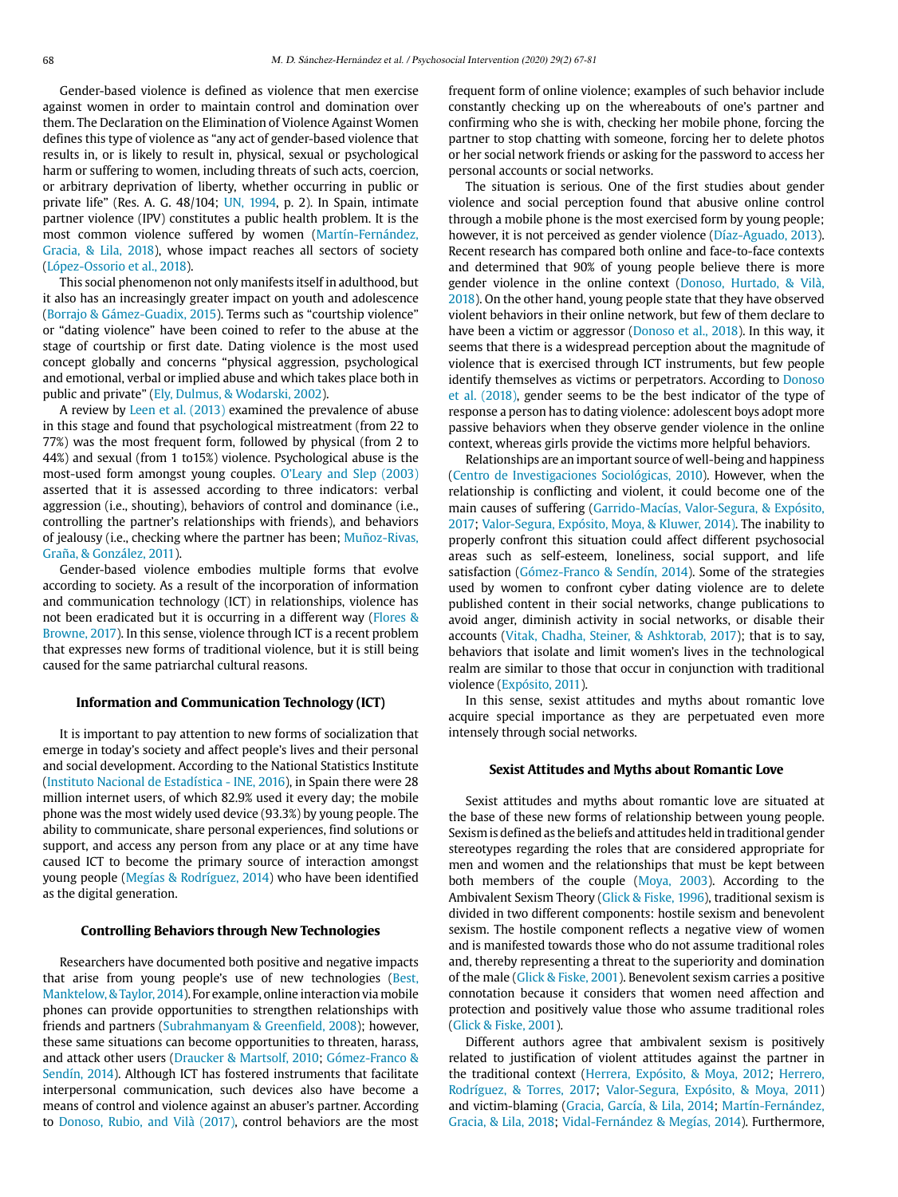Gender-based violence is defined as violence that men exercise against women in order to maintain control and domination over them. [The](https://dictionary.cambridge.org/es/diccionario/ingles-espanol/the) D[eclaration](https://dictionary.cambridge.org/es/diccionario/ingles-espanol/declaration) on [the](https://dictionary.cambridge.org/es/diccionario/ingles-espanol/the) E[limination](https://dictionary.cambridge.org/es/diccionario/ingles-espanol/elimination) [of](https://dictionary.cambridge.org/es/diccionario/ingles-espanol/of) [Violence](https://dictionary.cambridge.org/es/diccionario/ingles-espanol/violence) [Against](https://dictionary.cambridge.org/es/diccionario/ingles-espanol/against) [Women](https://dictionary.cambridge.org/es/diccionario/ingles-espanol/women)  defines this type of violence [as](https://dictionary.cambridge.org/es/diccionario/ingles-espanol/as) "any act of gender-based violence that results in, or is likely to result in, physical, sexual or psychological harm or suffering to women, including threats of such acts, coercion, or arbitrary deprivation of liberty, whether occurring in public or private life" (Res. A. G. 48/104; UN, 1994, p. 2). In Spain, intimate partner violence (IPV) constitutes a public health problem. It is the most common violence suffered by women (Martín-Fernández, Gracia, [&](https://es.wikipedia.org/wiki/%26) Lila, 2018), [whose](https://dictionary.cambridge.org/es/diccionario/ingles-espanol/whose) [impact](https://dictionary.cambridge.org/es/diccionario/ingles-espanol/impact) reaches [all](https://dictionary.cambridge.org/es/diccionario/ingles-espanol/all) sectors [of](https://dictionary.cambridge.org/es/diccionario/ingles-espanol/of) [society](https://dictionary.cambridge.org/es/diccionario/ingles-espanol/society)  (López-Ossorio et al., 2018).

This social phenomenon not only manifests itself in adulthood, but it also has an increasingly greater impact on youth and adolescence (Borrajo [&](https://es.wikipedia.org/wiki/%26) Gámez-Guadix, 2015). Terms such as ["courtship](https://dictionary.cambridge.org/es/diccionario/ingles-espanol/courtship) [violence](https://dictionary.cambridge.org/es/diccionario/ingles-espanol/violence)" [or](https://dictionary.cambridge.org/es/diccionario/ingles-espanol/or) "dating [violence](https://dictionary.cambridge.org/es/diccionario/ingles-espanol/violence)" have been coined [to](https://dictionary.cambridge.org/es/diccionario/ingles-espanol/to) [refer](https://dictionary.cambridge.org/es/diccionario/ingles-espanol/refer) [to](https://dictionary.cambridge.org/es/diccionario/ingles-espanol/to) the [abuse](https://dictionary.cambridge.org/es/diccionario/ingles-espanol/abuse) [at](https://dictionary.cambridge.org/es/diccionario/ingles-espanol/at) [the](https://dictionary.cambridge.org/es/diccionario/ingles-espanol/the)  [stage](https://dictionary.cambridge.org/es/diccionario/ingles-espanol/stage) [of](https://dictionary.cambridge.org/es/diccionario/ingles-espanol/of) [courtship](https://dictionary.cambridge.org/es/diccionario/ingles-espanol/courtship) [or](https://dictionary.cambridge.org/es/diccionario/ingles-espanol/or) [first](https://dictionary.cambridge.org/es/diccionario/ingles-espanol/first) date. Dating [violence](https://dictionary.cambridge.org/es/diccionario/ingles-espanol/violence) [is](https://dictionary.cambridge.org/es/diccionario/ingles-espanol/is) [the](https://dictionary.cambridge.org/es/diccionario/ingles-espanol/the) [most](https://dictionary.cambridge.org/es/diccionario/ingles-espanol/most) [used](https://dictionary.cambridge.org/es/diccionario/ingles-espanol/used)  [concept](https://dictionary.cambridge.org/es/diccionario/ingles-espanol/concept) [globally](https://dictionary.cambridge.org/es/diccionario/ingles-espanol/globally) [and](https://dictionary.cambridge.org/es/diccionario/ingles-espanol/and) concerns "[physical](https://dictionary.cambridge.org/es/diccionario/ingles-espanol/physical) [aggression,](https://dictionary.cambridge.org/es/diccionario/ingles-espanol/aggression) [psychological](https://dictionary.cambridge.org/es/diccionario/ingles-espanol/psychological)  [and](https://dictionary.cambridge.org/es/diccionario/ingles-espanol/and) [emotional,](https://dictionary.cambridge.org/es/diccionario/ingles-espanol/emotional) [verbal](https://dictionary.cambridge.org/es/diccionario/ingles-espanol/verbal) [or](https://dictionary.cambridge.org/es/diccionario/ingles-espanol/or) implied [abuse](https://dictionary.cambridge.org/es/diccionario/ingles-espanol/abuse) and [which](https://dictionary.cambridge.org/es/diccionario/ingles-espanol/which) takes [place](https://dictionary.cambridge.org/es/diccionario/ingles-espanol/place) [both](https://dictionary.cambridge.org/es/diccionario/ingles-espanol/both) [in](https://dictionary.cambridge.org/es/diccionario/ingles-espanol/in)  [public](https://dictionary.cambridge.org/es/diccionario/ingles-espanol/public) [and](https://dictionary.cambridge.org/es/diccionario/ingles-espanol/and) [private"](https://dictionary.cambridge.org/es/diccionario/ingles-espanol/private) (Ely, Dulmus, [&](https://es.wikipedia.org/wiki/%26) Wodarski, 2002).

A review by Leen et al. (2013) examined the prevalence of abuse in this stage and found that psychological mistreatment (from 22 to 77%) was the most frequent form, followed [by](https://dictionary.cambridge.org/es/diccionario/ingles-espanol/by) [physical](https://dictionary.cambridge.org/es/diccionario/ingles-espanol/physical) (from 2 to 44%) [and](https://dictionary.cambridge.org/es/diccionario/ingles-espanol/and) [sexual](https://dictionary.cambridge.org/es/diccionario/ingles-espanol/sexual) (from 1 to15%) [violence.](https://dictionary.cambridge.org/es/diccionario/ingles-espanol/violence) Psychological abuse is the most-used form amongst young couples. O'Leary and Slep (2003) asserted that it is assessed according [to](https://dictionary.cambridge.org/es/diccionario/ingles-espanol/to) [three](https://dictionary.cambridge.org/es/diccionario/ingles-espanol/three) indicators: verbal aggression (i.e., shouting), behaviors of control and dominance (i.e., controlling [the](https://dictionary.cambridge.org/es/diccionario/ingles-espanol/the) [partner'](https://dictionary.cambridge.org/es/diccionario/ingles-espanol/partner)s relationships [with](https://dictionary.cambridge.org/es/diccionario/ingles-espanol/with) friends), and behaviors of jealousy (i.e., checking where the partner has been; Muñoz-Rivas, Graña, [&](https://es.wikipedia.org/wiki/%26) González, 2011).

Gender-based violence embodies [multiple](https://dictionary.cambridge.org/es/diccionario/ingles-espanol/multiple) forms [that](https://dictionary.cambridge.org/es/diccionario/ingles-espanol/that) [evolve](https://dictionary.cambridge.org/es/diccionario/ingles-espanol/evolve)  according [to](https://dictionary.cambridge.org/es/diccionario/ingles-espanol/to) [society.](https://dictionary.cambridge.org/es/diccionario/ingles-espanol/society) [As](https://dictionary.cambridge.org/es/diccionario/ingles-espanol/as) [a](https://dictionary.cambridge.org/es/diccionario/ingles-espanol/a) [result](https://dictionary.cambridge.org/es/diccionario/ingles-espanol/result) [of](https://dictionary.cambridge.org/es/diccionario/ingles-espanol/of) [the](https://dictionary.cambridge.org/es/diccionario/ingles-espanol/the) incorporation [of](https://dictionary.cambridge.org/es/diccionario/ingles-espanol/of) [information](https://content.taylorfrancis.com/books/e/download?dac=C2004-0-20942-0&isbn=9781134817573&doi=10.4324/9780203401491-9&format=pdf)  [and communication technology](https://content.taylorfrancis.com/books/e/download?dac=C2004-0-20942-0&isbn=9781134817573&doi=10.4324/9780203401491-9&format=pdf) (ICT) [in](https://dictionary.cambridge.org/es/diccionario/ingles-espanol/in) relationships, violence has not been eradicated but it is occurring in a different way (Flores [&](https://es.wikipedia.org/wiki/%26)  Browne, 2017). In this sense, violence through ICT is a recent problem that expresses new forms of traditional violence, but it is still being caused for the same patriarchal cultural reasons.

## **Information and Communication Technology (ICT)**

It is important to pay attention to new forms of socialization that emerge in today's society [and](https://dictionary.cambridge.org/es/diccionario/ingles-espanol/and) [affect](https://dictionary.cambridge.org/es/diccionario/ingles-espanol/affect) [people](https://dictionary.cambridge.org/es/diccionario/ingles-espanol/people)'[s](https://dictionary.cambridge.org/es/diccionario/ingles-espanol/s) [lives](https://dictionary.cambridge.org/es/diccionario/ingles-espanol/lives) [and](https://dictionary.cambridge.org/es/diccionario/ingles-espanol/and) [their](https://dictionary.cambridge.org/es/diccionario/ingles-espanol/their) [personal](https://dictionary.cambridge.org/es/diccionario/ingles-espanol/personal)  [and](https://dictionary.cambridge.org/es/diccionario/ingles-espanol/and) [social](https://dictionary.cambridge.org/es/diccionario/ingles-espanol/social) [development.](https://dictionary.cambridge.org/es/diccionario/ingles-espanol/development) According to the National Statistics Institute (Instituto Nacional de Estadística - INE, 2016), in Spain there were 28 million internet users, of which 82.9% used it every day; the mobile phone was the most widely used device (93.3%) by young people. The [ability](https://dictionary.cambridge.org/es/diccionario/ingles-espanol/accessibility) [to](https://dictionary.cambridge.org/es/diccionario/ingles-espanol/to) [communicate](https://dictionary.cambridge.org/es/diccionario/ingles-espanol/communicate), [share](https://dictionary.cambridge.org/es/diccionario/ingles-espanol/share) [personal](https://dictionary.cambridge.org/es/diccionario/ingles-espanol/personal) experiences, [find](https://dictionary.cambridge.org/es/diccionario/ingles-espanol/find) solutions [or](https://dictionary.cambridge.org/es/diccionario/ingles-espanol/or)  [support,](https://dictionary.cambridge.org/es/diccionario/ingles-espanol/support) [and](https://dictionary.cambridge.org/es/diccionario/ingles-espanol/as) [access](https://dictionary.cambridge.org/es/diccionario/ingles-espanol/access) [any](https://dictionary.cambridge.org/es/diccionario/ingles-espanol/any) [person](https://dictionary.cambridge.org/es/diccionario/ingles-espanol/person) from any place or at any time have caused ICT to become the primary source of interaction amongst young people (Megías [&](https://es.wikipedia.org/wiki/%26) Rodríguez, 2014) who have been identified as the digital generation.

## **Controlling Behaviors through New Technologies**

Researchers have documented both positive and negative impacts that arise from young people's use of new technologies (Best, Manktelow, & Taylor, 2014). For example, online interaction via mobile phones can provide opportunities to strengthen relationships with friends and partners (Subrahmanyam [&](https://es.wikipedia.org/wiki/%26) Greenfield, 2008); however, these [same](https://dictionary.cambridge.org/es/diccionario/ingles-espanol/same) situations [can](https://dictionary.cambridge.org/es/diccionario/ingles-espanol/can) [become](https://dictionary.cambridge.org/es/diccionario/ingles-espanol/become) opportunities [to](https://dictionary.cambridge.org/es/diccionario/ingles-espanol/to) [threaten,](https://dictionary.cambridge.org/es/diccionario/ingles-espanol/threaten) [harass,](https://dictionary.cambridge.org/es/diccionario/ingles-espanol/harass) [and](https://dictionary.cambridge.org/es/diccionario/ingles-espanol/and) [attack](https://dictionary.cambridge.org/es/diccionario/ingles-espanol/attack) [other](https://dictionary.cambridge.org/es/diccionario/ingles-espanol/other) users (Draucker [&](https://es.wikipedia.org/wiki/%26) Martsolf, 2010; Gómez-Franco [&](https://es.wikipedia.org/wiki/%26)  Sendín, 2014). [Although](https://dictionary.cambridge.org/es/diccionario/ingles-espanol/although) ICT has fostered [instrument](https://dictionary.cambridge.org/es/diccionario/ingles-espanol/instrument)s [that](https://dictionary.cambridge.org/es/diccionario/ingles-espanol/that) facilitate interpersonal [communication](https://dictionary.cambridge.org/es/diccionario/ingles-espanol/communication), such devices [also](https://dictionary.cambridge.org/es/diccionario/ingles-espanol/also) [have](https://dictionary.cambridge.org/es/diccionario/ingles-espanol/have) [become](https://dictionary.cambridge.org/es/diccionario/ingles-espanol/become) [a](https://dictionary.cambridge.org/es/diccionario/ingles-espanol/a)  [means](https://dictionary.cambridge.org/es/diccionario/ingles-espanol/means) [of](https://dictionary.cambridge.org/es/diccionario/ingles-espanol/of) [control](https://dictionary.cambridge.org/es/diccionario/ingles-espanol/control) [and](https://dictionary.cambridge.org/es/diccionario/ingles-espanol/and) [violence](https://dictionary.cambridge.org/es/diccionario/ingles-espanol/violence) [against](https://dictionary.cambridge.org/es/diccionario/ingles-espanol/against) an abuser's [partner](https://dictionary.cambridge.org/es/diccionario/ingles-espanol/partner). According to Donoso, Rubio, and Vilà (2017), control behaviors are the most

frequent form of online violence; examples of such behavior include constantly checking up on the whereabouts of one's partner and confirming who she is with, checking [her](https://dictionary.cambridge.org/es/diccionario/ingles-espanol/your) [mobile](https://dictionary.cambridge.org/es/diccionario/ingles-espanol/mobile) [phone](https://dictionary.cambridge.org/es/diccionario/ingles-espanol/phone), forcing [the](https://dictionary.cambridge.org/es/diccionario/ingles-espanol/the) partner [to](https://dictionary.cambridge.org/es/diccionario/ingles-espanol/to) [stop](https://dictionary.cambridge.org/es/diccionario/ingles-espanol/stop) chatting [with](https://dictionary.cambridge.org/es/diccionario/ingles-espanol/with) [someone](https://dictionary.cambridge.org/es/diccionario/ingles-espanol/someone), forcing [her](https://dictionary.cambridge.org/es/diccionario/ingles-espanol/her) [to](https://dictionary.cambridge.org/es/diccionario/ingles-espanol/to) [delete](https://dictionary.cambridge.org/es/diccionario/ingles-espanol/delete) photos [or](https://dictionary.cambridge.org/es/diccionario/ingles-espanol/or) [her](https://dictionary.cambridge.org/es/diccionario/ingles-espanol/your) [social](https://dictionary.cambridge.org/es/diccionario/ingles-espanol/social) [network](https://dictionary.cambridge.org/es/diccionario/ingles-espanol/network) friends or asking [for](https://dictionary.cambridge.org/es/diccionario/ingles-espanol/for) [the](https://dictionary.cambridge.org/es/diccionario/ingles-espanol/the) [password](https://dictionary.cambridge.org/es/diccionario/ingles-espanol/password) [to](https://dictionary.cambridge.org/es/diccionario/ingles-espanol/to) [access](https://dictionary.cambridge.org/es/diccionario/ingles-espanol/access) [her](https://dictionary.cambridge.org/es/diccionario/ingles-espanol/their) [personal](https://dictionary.cambridge.org/es/diccionario/ingles-espanol/personal) [accounts](https://dictionary.cambridge.org/es/diccionario/ingles-espanol/accounts) [or](https://dictionary.cambridge.org/es/diccionario/ingles-espanol/or) [social](https://dictionary.cambridge.org/es/diccionario/ingles-espanol/social) networks.

The situation is serious. One of the first studies about gender violence and social perception found that abusive online control through a mobile phone is the most exercised form by young people; however, it is not perceived as gender violence (Díaz-Aguado, 2013). Recent research has compared both online and face-to-face contexts and determined that 90% of young people believe there is more gender violence in the online context (Donoso, Hurtado, [&](https://es.wikipedia.org/wiki/%26) Vilà, 2018). On the other hand, young people state that they have observed violent behaviors in their online network, but few of them declare to have been a victim or aggressor (Donoso et al., 2018). In this way, it seems that there is a widespread perception about the magnitude of violence that is exercised through ICT instruments, but few people identify themselves as victims or perpetrators. According to Donoso et al. (2018), gender seems to be the best indicator of the type of response a person has to dating violence: adolescent boys adopt more passive behaviors when they observe gender violence in the online context, whereas girls provide the victims more helpful behaviors.

Relationships are an important source of well-being and happiness (Centro de Investigaciones Sociológicas, 2010). However, when the relationship is conflicting and violent, it could become one of the main causes of suffering (Garrido-Macías, Valor-Segura, [&](https://es.wikipedia.org/wiki/%26) Expósito, 2017; Valor-Segura, Expósito, Moya, [&](https://es.wikipedia.org/wiki/%26) Kluwer, 2014). The inability to properly confront this situation could affect different psychosocial areas such as self-esteem, loneliness, social support, and life satisfaction (Gómez-Franco [&](https://es.wikipedia.org/wiki/%26) Sendín, 2014). Some of the strategies used by women to confront cyber dating violence are to delete published content in their social networks, change publications to avoid anger, diminish activity in social networks, or disable their accounts (Vitak, Chadha, Steiner, [&](https://es.wikipedia.org/wiki/%26) Ashktorab, 2017); that is to say, behaviors that isolate and limit women's lives in the technological realm are similar to those that occur in conjunction with traditional violence (Expósito, 2011).

In this sense, sexist attitudes and myths about romantic love acquire special importance as they are perpetuated even more intensely through social networks.

## **Sexist Attitudes and Myths about Romantic Love**

Sexist attitudes and myths about romantic love are situated at the base of these new forms of relationship between young people. Sexism is defined as the beliefs and attitudes held in traditional gender stereotypes regarding the roles that are considered appropriate for men and women and the relationships that must be kept between both members of the couple (Moya, 2003). According to the Ambivalent Sexism Theory (Glick [&](https://es.wikipedia.org/wiki/%26) Fiske, 1996), traditional sexism is divided in two different components: hostile sexism and benevolent sexism. The hostile component reflects a negative view of women and is manifested towards those who do not assume traditional roles and, thereby representing a threat to the superiority and domination of the male (Glick [&](https://es.wikipedia.org/wiki/%26) Fiske, 2001). Benevolent sexism carries a positive connotation because it considers that women need affection and protection and positively value those who assume traditional roles (Glick [&](https://es.wikipedia.org/wiki/%26) Fiske, 2001).

Different authors agree that ambivalent sexism is positively related to justification of violent attitudes against the partner in the traditional context (Herrera, Expósito, [&](https://es.wikipedia.org/wiki/%26) Moya, 2012; Herrero, Rodríguez, [&](https://es.wikipedia.org/wiki/%26) Torres, 2017; Valor-Segura, Expósito, [&](https://es.wikipedia.org/wiki/%26) Moya, 2011) and victim-blaming (Gracia, García, [&](https://es.wikipedia.org/wiki/%26) Lila, 2014; Martín-Fernández, Gracia, & Lila, 2018; Vidal-Fernández [&](https://es.wikipedia.org/wiki/%26) Megías, 2014). Furthermore,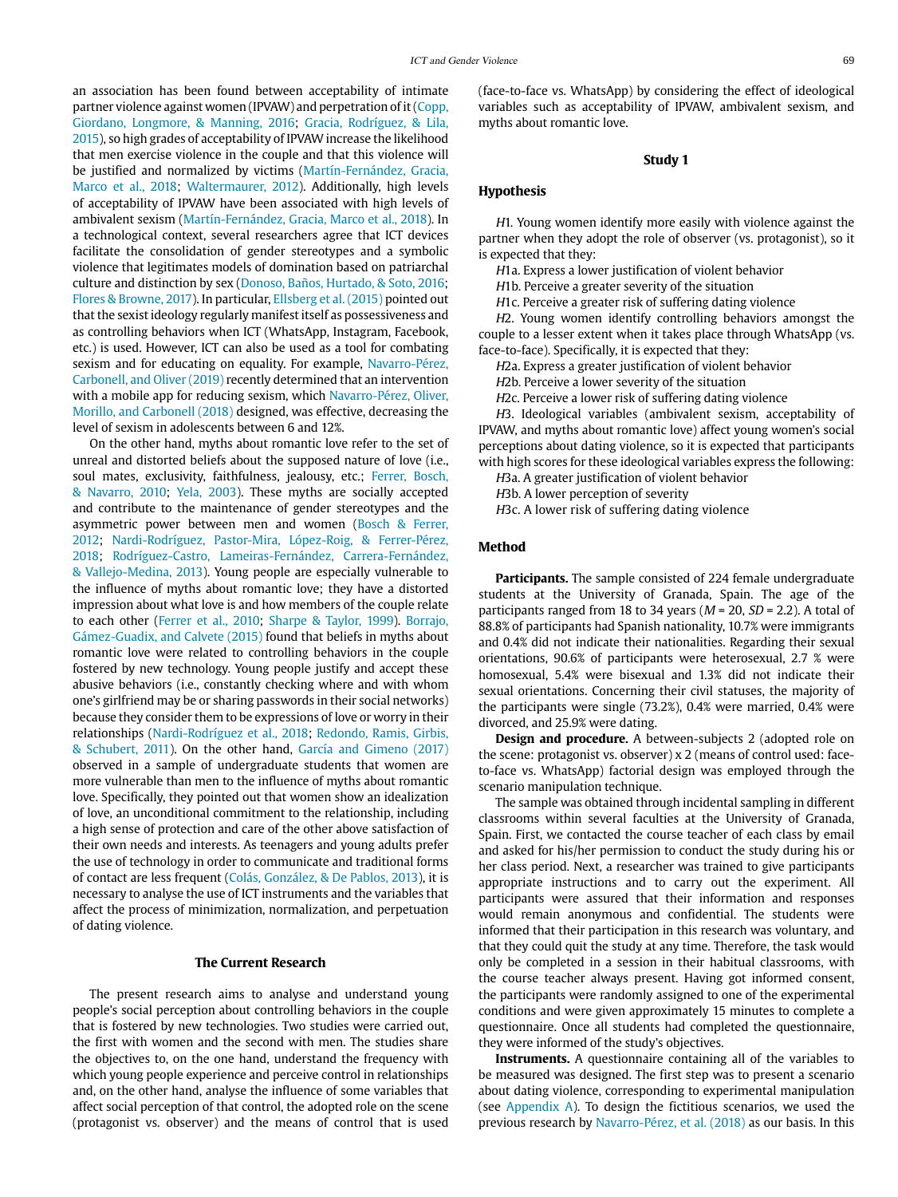an association has been found between acceptability of intimate partner violence against women (IPVAW) and perpetration of it (Copp, Giordano, Longmore, [&](https://es.wikipedia.org/wiki/%26) Manning, 2016; Gracia, Rodríguez, [&](https://es.wikipedia.org/wiki/%26) Lila, 2015), so high grades of acceptability of IPVAW increase the likelihood that men exercise violence in the couple and that this violence will be justified and normalized by victims (Martín-Fernández, Gracia, Marco et al., 2018; Waltermaurer, 2012). Additionally, high levels of acceptability of IPVAW have been associated with high levels of ambivalent sexism (Martín-Fernández, Gracia, Marco et al., 2018). In a technological context, several researchers agree that ICT devices facilitate the consolidation of gender stereotypes and a symbolic violence that legitimates models of domination based on patriarchal culture and distinction by sex (Donoso, Baños, Hurtado, [&](https://es.wikipedia.org/wiki/%26) Soto, 2016; Flores [&](https://es.wikipedia.org/wiki/%26) Browne, 2017). In particular, Ellsberg et al. (2015) pointed out that the sexist ideology regularly manifest itself as possessiveness and as controlling behaviors when ICT (WhatsApp, Instagram, Facebook, etc.) is used. However, ICT can also be used as a tool for combating sexism and for educating on equality. For example, Navarro-Pérez, Carbonell, and Oliver (2019) recently determined that an intervention with a mobile app for reducing sexism, which Navarro-Pérez, Oliver, Morillo, and Carbonell (2018) designed, was effective, decreasing the level of sexism in adolescents between 6 and 12%.

On the other hand, myths about romantic love refer to the set of unreal and distorted beliefs about the supposed nature of love (i.e., soul mates, exclusivity, faithfulness, jealousy, etc.; Ferrer, Bosch, [&](https://es.wikipedia.org/wiki/%26) Navarro, 2010; Yela, 2003). These myths are socially accepted and contribute to the maintenance of gender stereotypes and the asymmetric power between men and women (Bosch [&](https://es.wikipedia.org/wiki/%26) Ferrer, 2012; Nardi-Rodríguez, Pastor-Mira, López-Roig, [&](https://es.wikipedia.org/wiki/%26) Ferrer-Pérez, 2018; Rodríguez-Castro, Lameiras-Fernández, Carrera-Fernández, [&](https://es.wikipedia.org/wiki/%26) Vallejo-Medina, 2013). Young people are especially vulnerable to the influence of myths about romantic love; they have a distorted impression about what love is and how members of the couple relate to each other (Ferrer et al., 2010; Sharpe [&](https://es.wikipedia.org/wiki/%26) Taylor, 1999). Borrajo, Gámez-Guadix, and Calvete (2015) found that beliefs in myths about romantic love were related to controlling behaviors in the couple fostered by new technology. Young people justify and accept these abusive behaviors (i.e., constantly checking where and with whom one's girlfriend may be or sharing passwords in their social networks) because they consider them to be expressions of love or worry in their relationships (Nardi-Rodríguez et al., 2018; Redondo, Ramis, Girbis, [&](https://es.wikipedia.org/wiki/%26) Schubert, 2011). On the other hand, García and Gimeno (2017) observed in a sample of undergraduate students that women are more vulnerable than men to the influence of myths about romantic love. Specifically, they pointed out that women show an idealization of love, an unconditional commitment to the relationship, including a high sense of protection and care of the other above satisfaction of their own needs and interests. As teenagers and young adults prefer the use of technology in order to communicate and traditional forms of contact are less frequent (Colás, González, [&](https://es.wikipedia.org/wiki/%26) De Pablos, 2013), it is necessary to analyse the use of ICT instruments and the variables that affect the process of minimization, normalization, and perpetuation of dating violence.

## **The Current Research**

The present research aims to analyse and understand young people's social perception about controlling behaviors in the couple that is fostered by new technologies. Two studies were carried out, the first with women and the second with men. The studies share the objectives to, on the one hand, understand the frequency with which young people experience and perceive control in relationships and, on the other hand, analyse the influence of some variables that affect social perception of that control, the adopted role on the scene (protagonist vs. observer) and the means of control that is used

(face-to-face vs. WhatsApp) by considering the effect of ideological variables such as acceptability of IPVAW, ambivalent sexism, and myths about romantic love.

## **Study 1**

#### **Hypothesis**

H1. Young women identify more easily with violence against the partner when they adopt the role of observer (vs. protagonist), so it is expected that they:

H1a. Express a lower justification of violent behavior

H1b. Perceive a greater severity of the situation

H1c. Perceive a greater risk of suffering dating violence

H2. Young women identify controlling behaviors amongst the couple to a lesser extent when it takes place through WhatsApp (vs. face-to-face). Specifically, it is expected that they:

H2a. Express a greater justification of violent behavior

H2b. Perceive a lower severity of the situation

H2c. Perceive a lower risk of suffering dating violence

H3. Ideological variables (ambivalent sexism, acceptability of IPVAW, and myths about romantic love) affect young women's social perceptions about dating violence, so it is expected that participants with high scores for these ideological variables express the following:

H3a. A greater justification of violent behavior

H3b. A lower perception of severity

H3c. A lower risk of suffering dating violence

#### **Method**

**Participants.** The sample consisted of 224 female undergraduate students at the University of Granada, Spain. The age of the participants ranged from 18 to 34 years ( $M = 20$ ,  $SD = 2.2$ ). A total of 88.8% of participants had Spanish nationality, 10.7% were immigrants and 0.4% did not indicate their nationalities. Regarding their sexual orientations, 90.6% of participants were heterosexual, 2.7 % were homosexual, 5.4% were bisexual and 1.3% did not indicate their sexual orientations. Concerning their civil statuses, the majority of the participants were single (73.2%), 0.4% were married, 0.4% were divorced, and 25.9% were dating.

**Design and procedure.** A between-subjects 2 (adopted role on the scene: protagonist vs. observer) x 2 (means of control used: faceto-face vs. WhatsApp) factorial design was employed through the scenario manipulation technique.

The sample was obtained through incidental sampling in different classrooms within several faculties at the University of Granada, Spain. First, we contacted the course teacher of each class by email and asked for his/her permission to conduct the study during his or her class period. Next, a researcher was trained to give participants appropriate instructions and to carry out the experiment. All participants were assured that their information and responses would remain anonymous and confidential. The students were informed that their participation in this research was voluntary, and that they could quit the study at any time. Therefore, the task would only be completed in a session in their habitual classrooms, with the course teacher always present. Having got informed consent, the participants were randomly assigned to one of the experimental conditions and were given approximately 15 minutes to complete a questionnaire. Once all students had completed the questionnaire, they were informed of the study's objectives.

**Instruments.** A questionnaire containing all of the variables to be measured was designed. The first step was to present a scenario about dating violence, corresponding to experimental manipulation (see Appendix A). To design the fictitious scenarios, we used the previous research by Navarro-Pérez, et al. (2018) as our basis. In this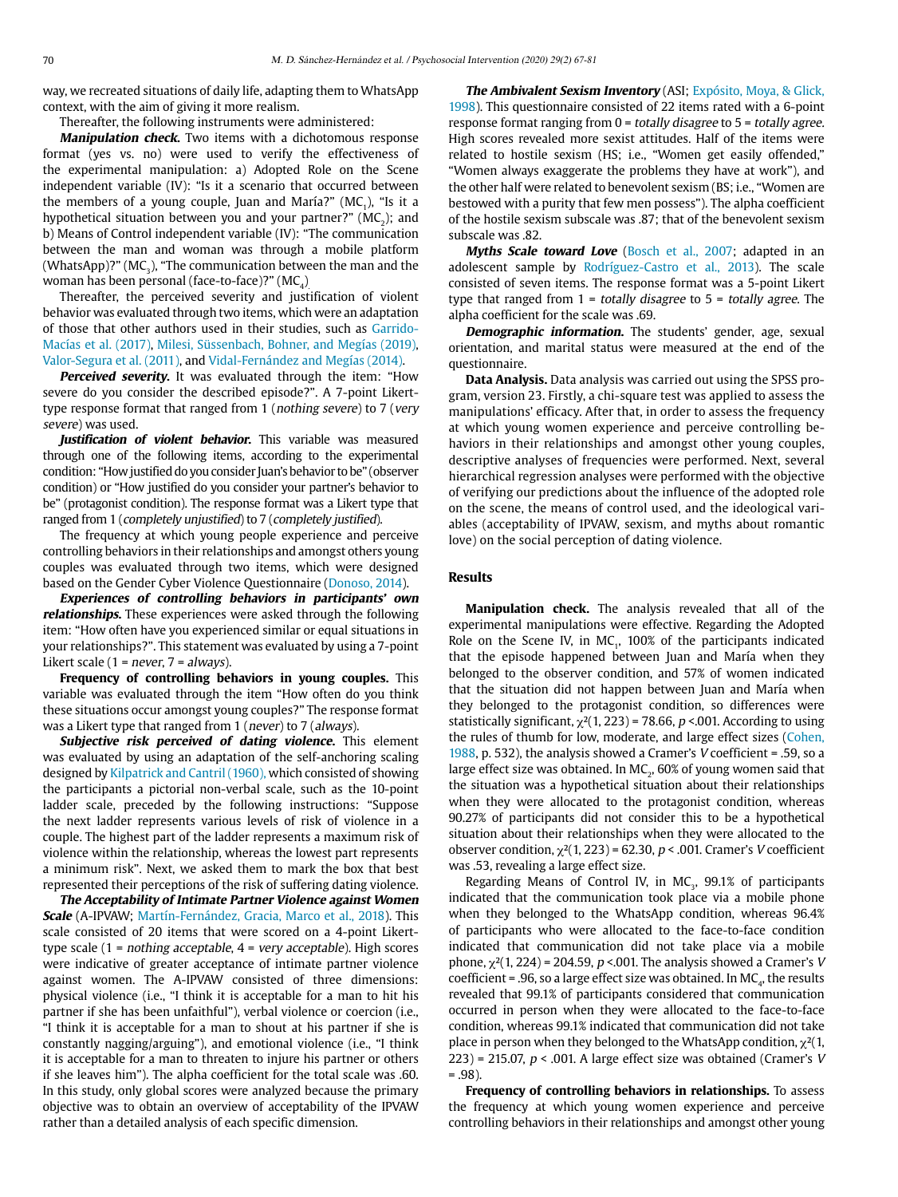way, we recreated situations of daily life, adapting them to WhatsApp context, with the aim of giving it more realism.

Thereafter, the following instruments were administered:

**Manipulation check.** Two items with a dichotomous response format (yes vs. no) were used to verify the effectiveness of the experimental manipulation: a) Adopted Role on the Scene independent variable (IV): "Is it a scenario that occurred between the members of a young couple, Juan and María?" ( $MC$ <sub>1</sub>), "Is it a hypothetical situation between you and your partner?" ( $MC<sub>2</sub>$ ); and b) Means of Control independent variable (IV): "The communication between the man and woman was through a mobile platform (WhatsApp)?" ( $MC<sub>3</sub>$ ), "The communication between the man and the woman has been personal (face-to-face)?"  $(MC<sub>4</sub>)$ .

Thereafter, the perceived severity and justification of violent behavior was evaluated through two items, which were an adaptation of those that other authors used in their studies, such as Garrido-Macías et al. (2017), Milesi, Süssenbach, Bohner, and Megías (2019), Valor-Segura et al. (2011), and Vidal-Fernández and Megías (2014).

**Perceived severity.** It was evaluated through the item: "How severe do you consider the described episode?". A 7-point Likerttype response format that ranged from 1 (nothing severe) to 7 (very severe) was used.

**Justification of violent behavior.** This variable was measured through one of the following items, according to the experimental condition: "How justified do you consider Juan's behavior to be" (observer condition) or "How justified do you consider your partner's behavior to be" (protagonist condition). The response format was a Likert type that ranged from 1 (completely unjustified) to 7 (completely justified).

The frequency at which young people experience and perceive controlling behaviors in their relationships and amongst others young couples was evaluated through two items, which were designed based on the Gender Cyber Violence Questionnaire (Donoso, 2014).

**Experiences of controlling behaviors in participants' own relationships.** These experiences were asked through the following item: "How often have you experienced similar or equal situations in your relationships?". This statement was evaluated by using a 7-point Likert scale (1 = never,  $7$  = always).

**Frequency of controlling behaviors in young couples.** This variable was evaluated through the item "How often do you think these situations occur amongst young couples?" The response format was a Likert type that ranged from 1 (never) to 7 (always).

**Subjective risk perceived of dating violence.** This element was evaluated by using an adaptation of the self-anchoring scaling designed by Kilpatrick and Cantril (1960), which consisted of showing the participants a pictorial non-verbal scale, such as the 10-point ladder scale, preceded by the following instructions: "Suppose the next ladder represents various levels of risk of violence in a couple. The highest part of the ladder represents a maximum risk of violence within the relationship, whereas the lowest part represents a minimum risk". Next, we asked them to mark the box that best represented their perceptions of the risk of suffering dating violence.

**The Acceptability of Intimate Partner Violence against Women Scale** (A-IPVAW; Martín-Fernández, Gracia, Marco et al., 2018). This scale consisted of 20 items that were scored on a 4-point Likerttype scale (1 = nothing acceptable, 4 = very acceptable). High scores were indicative of greater acceptance of intimate partner violence against women. The A-IPVAW consisted of three dimensions: physical violence (i.e., "I think it is acceptable for a man to hit his partner if she has been unfaithful"), verbal violence or coercion (i.e., "I think it is acceptable for a man to shout at his partner if she is constantly nagging/arguing"), and emotional violence (i.e., "I think it is acceptable for a man to threaten to injure his partner or others if she leaves him"). The alpha coefficient for the total scale was .60. In this study, only global scores were analyzed because the primary objective was to obtain an overview of acceptability of the IPVAW rather than a detailed analysis of each specific dimension.

**The Ambivalent Sexism Inventory** (ASI; Expósito, Moya, & Glick, 1998). This questionnaire consisted of 22 items rated with a 6-point response format ranging from  $0 =$  totally disagree to  $5 =$  totally agree. High scores revealed more sexist attitudes. Half of the items were related to hostile sexism (HS; i.e., "Women get easily offended," "Women always exaggerate the problems they have at work"), and the other half were related to benevolent sexism (BS; i.e., "Women are bestowed with a purity that few men possess"). The alpha coefficient of the hostile sexism subscale was .87; that of the benevolent sexism subscale was .82.

**Myths Scale toward Love** (Bosch et al., 2007; adapted in an adolescent sample by Rodríguez-Castro et al., 2013). The scale consisted of seven items. The response format was a 5-point Likert type that ranged from  $1 = totally disagree$  to  $5 = totally agree$ . The alpha coefficient for the scale was .69.

**Demographic information.** The students' gender, age, sexual orientation, and marital status were measured at the end of the questionnaire.

**Data Analysis.** Data analysis was carried out using the SPSS program, version 23. Firstly, a chi-square test was applied to assess the manipulations' efficacy. After that, in order to assess the frequency at which young women experience and perceive controlling behaviors in their relationships and amongst other young couples, descriptive analyses of frequencies were performed. Next, several hierarchical regression analyses were performed with the objective of verifying our predictions about the influence of the adopted role on the scene, the means of control used, and the ideological variables (acceptability of IPVAW, sexism, and myths about romantic love) on the social perception of dating violence.

#### **Results**

**Manipulation check.** The analysis revealed that all of the experimental manipulations were effective. Regarding the Adopted Role on the Scene IV, in  $MC<sub>1</sub>$ , 100% of the participants indicated that the episode happened between Juan and María when they belonged to the observer condition, and 57% of women indicated that the situation did not happen between Juan and María when they belonged to the protagonist condition, so differences were statistically significant,  $\chi^2(1, 223)$  = 78.66, p <.001. According to using the rules of thumb for low, moderate, and large effect sizes (Cohen, 1988, p. 532), the analysis showed a Cramer's V coefficient = .59, so a large effect size was obtained. In MC<sub>2</sub>, 60% of young women said that the situation was a hypothetical situation about their relationships when they were allocated to the protagonist condition, whereas 90.27% of participants did not consider this to be a hypothetical situation about their relationships when they were allocated to the observer condition,  $\chi^2(1, 223)$  = 62.30, p < .001. Cramer's V coefficient was .53, revealing a large effect size.

Regarding Means of Control IV, in  $MC<sub>3</sub>$ , 99.1% of participants indicated that the communication took place via a mobile phone when they belonged to the WhatsApp condition, whereas 96.4% of participants who were allocated to the face-to-face condition indicated that communication did not take place via a mobile phone,  $\chi^2(1, 224)$  = 204.59, p < 001. The analysis showed a Cramer's V coefficient = .96, so a large effect size was obtained. In  $MC_{4}$ , the results revealed that 99.1% of participants considered that communication occurred in person when they were allocated to the face-to-face condition, whereas 99.1% indicated that communication did not take place in person when they belonged to the WhatsApp condition,  $\chi^2(1)$ , 223) = 215.07,  $p < .001$ . A large effect size was obtained (Cramer's V  $= .98$ ).

**Frequency of controlling behaviors in relationships.** To assess the frequency at which young women experience and perceive controlling behaviors in their relationships and amongst other young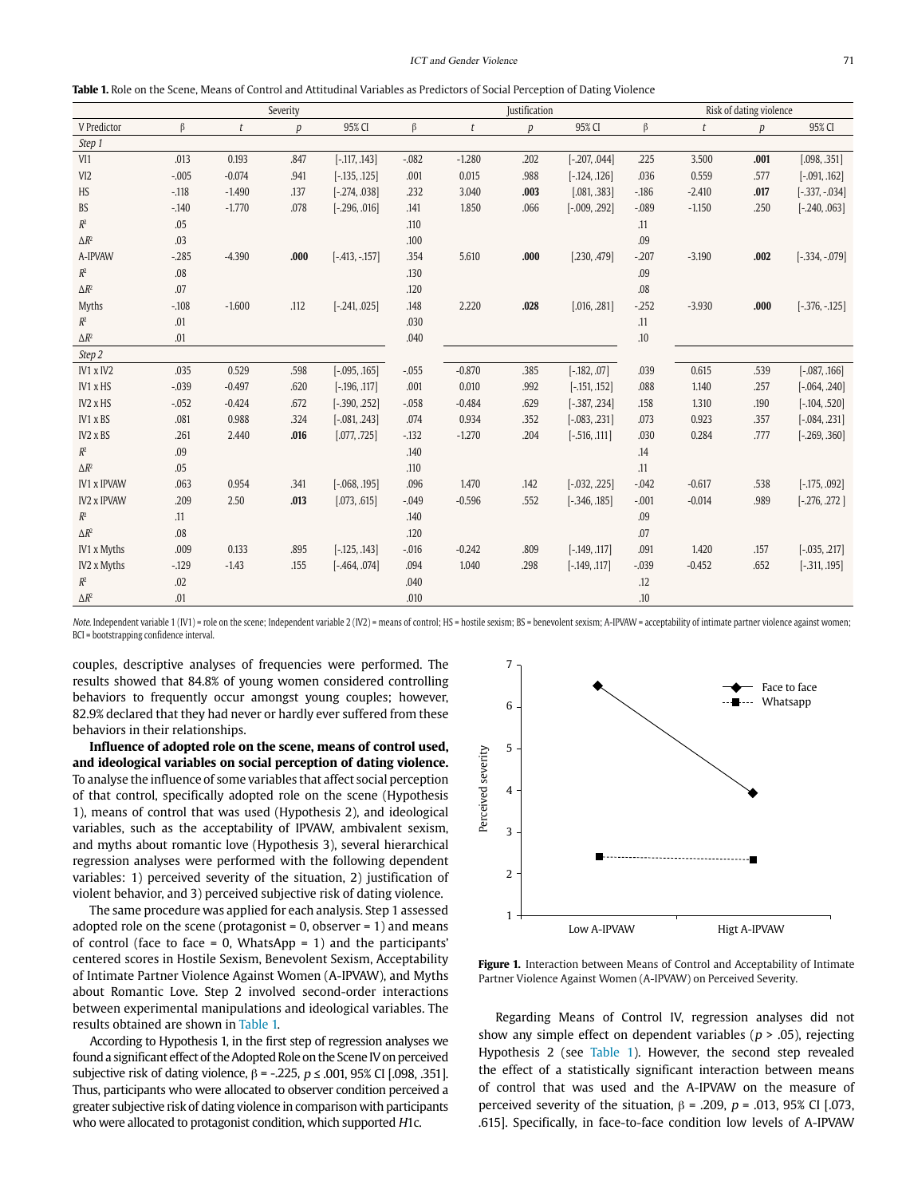**Table 1.** Role on the Scene, Means of Control and Attitudinal Variables as Predictors of Social Perception of Dating Violence

|                    | Severity |          |                  |                  | <b>Justification</b> |          |      |                   | Risk of dating violence |          |      |                   |
|--------------------|----------|----------|------------------|------------------|----------------------|----------|------|-------------------|-------------------------|----------|------|-------------------|
| V Predictor        | β        | t        | $\boldsymbol{p}$ | 95% CI           | $\beta$              | t        | p    | 95% CI            | $\beta$                 | t        | p    | 95% CI            |
| Step 1             |          |          |                  |                  |                      |          |      |                   |                         |          |      |                   |
| VI1                | .013     | 0.193    | .847             | $[-.117, .143]$  | $-.082$              | $-1.280$ | .202 | $[-.207, .044]$   | .225                    | 3.500    | .001 | [.098, .351]      |
| VI <sub>2</sub>    | $-.005$  | $-0.074$ | .941             | $[-.135, .125]$  | .001                 | 0.015    | .988 | $[-.124, .126]$   | .036                    | 0.559    | .577 | $[-.091, .162]$   |
| HS                 | $-118$   | $-1.490$ | .137             | $[-.274, .038]$  | .232                 | 3.040    | .003 | [.081, .383]      | $-186$                  | $-2.410$ | .017 | $[-337, -034]$    |
| BS                 | $-140$   | $-1.770$ | .078             | $[-.296, .016]$  | .141                 | 1.850    | .066 | $[-0.009, 0.292]$ | $-089$                  | $-1,150$ | .250 | $[-.240, .063]$   |
| $R^2$              | .05      |          |                  |                  | .110                 |          |      |                   | .11                     |          |      |                   |
| $\Delta R^2$       | .03      |          |                  |                  | .100                 |          |      |                   | .09                     |          |      |                   |
| A-IPVAW            | $-285$   | $-4.390$ | .000             | $[-.413, -.157]$ | .354                 | 5.610    | .000 | [.230, .479]      | $-.207$                 | $-3.190$ | .002 | $[-334, -079]$    |
| $\mathbb{R}^2$     | .08      |          |                  |                  | .130                 |          |      |                   | .09                     |          |      |                   |
| $\Delta R^2$       | .07      |          |                  |                  | .120                 |          |      |                   | .08                     |          |      |                   |
| Myths              | $-108$   | $-1,600$ | .112             | $[-.241, .025]$  | .148                 | 2.220    | .028 | [.016, .281]      | $-252$                  | $-3.930$ | .000 | $[-376, -125]$    |
| $R^2$              | .01      |          |                  |                  | .030                 |          |      |                   | .11                     |          |      |                   |
| $\Delta R^2$       | .01      |          |                  |                  | .040                 |          |      |                   | .10                     |          |      |                   |
| Step 2             |          |          |                  |                  |                      |          |      |                   |                         |          |      |                   |
| IV1 x IV2          | .035     | 0.529    | .598             | $[-.095, .165]$  | $-0.055$             | $-0.870$ | .385 | $[-.182, .07]$    | .039                    | 0.615    | .539 | $[-.087, .166]$   |
| IV1 x HS           | $-.039$  | $-0.497$ | .620             | $[-.196, .117]$  | .001                 | 0.010    | .992 | $[-.151, .152]$   | .088                    | 1.140    | .257 | $[-.064, .240]$   |
| IV2 x HS           | $-0.052$ | $-0.424$ | .672             | $[-390, .252]$   | $-.058$              | $-0.484$ | .629 | $[-.387, .234]$   | .158                    | 1.310    | .190 | $[-.104, .520]$   |
| IV1 x BS           | .081     | 0.988    | .324             | $[-0.081, .243]$ | .074                 | 0.934    | .352 | $[-0.083, .231]$  | .073                    | 0.923    | .357 | $[-.084, .231]$   |
| IV2 x BS           | .261     | 2.440    | .016             | [.077, .725]     | $-132$               | $-1,270$ | .204 | $[-.516, .111]$   | .030                    | 0.284    | .777 | $[-.269, .360]$   |
| $R^2$              | .09      |          |                  |                  | .140                 |          |      |                   | .14                     |          |      |                   |
| $\Delta R^2$       | .05      |          |                  |                  | .110                 |          |      |                   | .11                     |          |      |                   |
| <b>IV1 x IPVAW</b> | .063     | 0.954    | .341             | $[-.068, .195]$  | .096                 | 1.470    | .142 | $[-0.032, .225]$  | $-0.042$                | $-0.617$ | .538 | $[-.175, .092]$   |
| <b>IV2 x IPVAW</b> | .209     | 2.50     | .013             | [.073, .615]     | $-0.049$             | $-0.596$ | .552 | $[-.346, .185]$   | $-.001$                 | $-0.014$ | .989 | $[-.276, .272]$   |
| $R^2$              | .11      |          |                  |                  | .140                 |          |      |                   | .09                     |          |      |                   |
| $\Delta R^2$       | .08      |          |                  |                  | .120                 |          |      |                   | .07                     |          |      |                   |
| IV1 x Myths        | .009     | 0.133    | .895             | $[-.125, .143]$  | $-0.016$             | $-0.242$ | .809 | $[-.149, .117]$   | .091                    | 1.420    | .157 | $[-0.035, 0.217]$ |
| IV2 x Myths        | $-129$   | $-1.43$  | .155             | $[-.464, .074]$  | .094                 | 1.040    | .298 | $[-.149, .117]$   | $-.039$                 | $-0.452$ | .652 | $[-311, .195]$    |
| $R^2$              | .02      |          |                  |                  | .040                 |          |      |                   | .12                     |          |      |                   |
| $\Delta R^2$       | .01      |          |                  |                  | .010                 |          |      |                   | .10                     |          |      |                   |

Note. Independent variable 1 (IV1) = role on the scene; Independent variable 2 (IV2) = means of control; HS = hostile sexism; BS = benevolent sexism; A-IPVAW = acceptability of intimate partner violence against women; BCI = bootstrapping confidence interval.

couples, descriptive analyses of frequencies were performed. The results showed that 84.8% of young women considered controlling behaviors to frequently occur amongst young couples; however, 82.9% declared that they had never or hardly ever suffered from these behaviors in their relationships.

**Influence of adopted role on the scene, means of control used, and ideological variables on social perception of dating violence.**  To analyse the influence of some variables that affect social perception of that control, specifically adopted role on the scene (Hypothesis 1), means of control that was used (Hypothesis 2), and ideological variables, such as the acceptability of IPVAW, ambivalent sexism, and myths about romantic love (Hypothesis 3), several hierarchical regression analyses were performed with the following dependent variables: 1) perceived severity of the situation, 2) justification of violent behavior, and 3) perceived subjective risk of dating violence.

The same procedure was applied for each analysis. Step 1 assessed adopted role on the scene (protagonist =  $0$ , observer =  $1$ ) and means of control (face to face = 0, WhatsApp = 1) and the participants' centered scores in Hostile Sexism, Benevolent Sexism, Acceptability of Intimate Partner Violence Against Women (A-IPVAW), and Myths about Romantic Love. Step 2 involved second-order interactions between experimental manipulations and ideological variables. The results obtained are shown in Table 1.

According to Hypothesis 1, in the first step of regression analyses we found a significant effect of the Adopted Role on the Scene IV on perceived subjective risk of dating violence,  $β = -.225$ ,  $p ≤ .001$ , 95% CI [.098, .351]. Thus, participants who were allocated to observer condition perceived a greater subjective risk of dating violence in comparison with participants who were allocated to protagonist condition, which supported H1c.



Figure 1. Interaction between Means of Control and Acceptability of Intimate Partner Violence Against Women (A-IPVAW) on Perceived Severity.

Regarding Means of Control IV, regression analyses did not show any simple effect on dependent variables ( $p > .05$ ), rejecting Hypothesis 2 (see Table 1). However, the second step revealed the effect of a statistically significant interaction between means of control that was used and the A-IPVAW on the measure of perceived severity of the situation,  $β = .209$ ,  $p = .013$ , 95% CI [.073, .615]. Specifically, in face-to-face condition low levels of A-IPVAW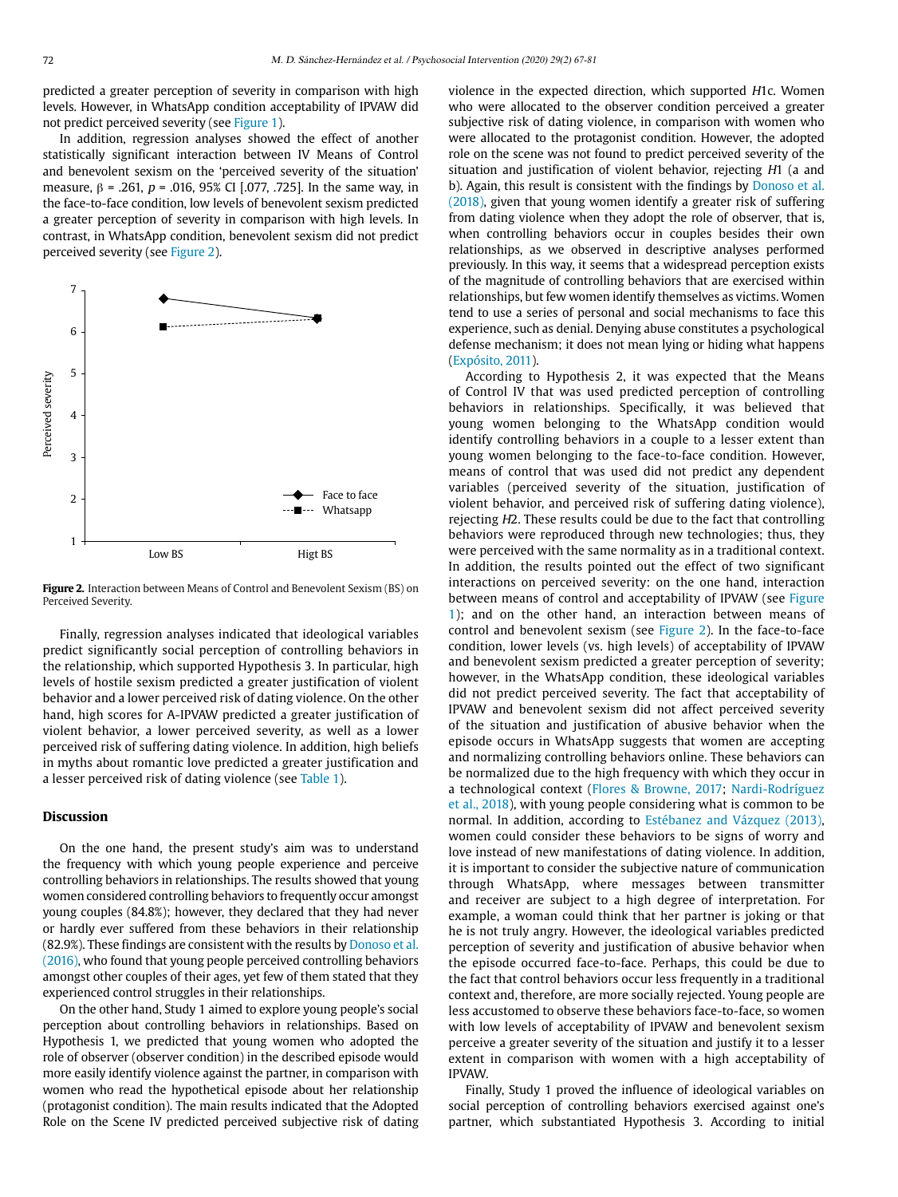predicted a greater perception of severity in comparison with high levels. However, in WhatsApp condition acceptability of IPVAW did not predict perceived severity (see Figure 1).

In addition, regression analyses showed the effect of another statistically significant interaction between IV Means of Control and benevolent sexism on the 'perceived severity of the situation' measure,  $β = .261$ ,  $p = .016$ , 95% CI [.077, .725]. In the same way, in the face-to-face condition, low levels of benevolent sexism predicted a greater perception of severity in comparison with high levels. In contrast, in WhatsApp condition, benevolent sexism did not predict perceived severity (see Figure 2).



**Figure 2.** Interaction between Means of Control and Benevolent Sexism (BS) on Perceived Severity.

Finally, regression analyses indicated that ideological variables predict significantly social perception of controlling behaviors in the relationship, which supported Hypothesis 3. In particular, high levels of hostile sexism predicted a greater justification of violent behavior and a lower perceived risk of dating violence. On the other hand, high scores for A-IPVAW predicted a greater justification of violent behavior, a lower perceived severity, as well as a lower perceived risk of suffering dating violence. In addition, high beliefs in myths about romantic love predicted a greater justification and a lesser perceived risk of dating violence (see Table 1).

## **Discussion**

On the one hand, the present study's aim was to understand the frequency with which young people experience and perceive controlling behaviors in relationships. The results showed that young women considered controlling behaviors to frequently occur amongst young couples (84.8%); however, they declared that they had never or hardly ever suffered from these behaviors in their relationship (82.9%). These findings are consistent with the results by Donoso et al. (2016), who found that young people perceived controlling behaviors amongst other couples of their ages, yet few of them stated that they experienced control struggles in their relationships.

On the other hand, Study 1 aimed to explore young people's social perception about controlling behaviors in relationships. Based on Hypothesis 1, we predicted that young women who adopted the role of observer (observer condition) in the described episode would more easily identify violence against the partner, in comparison with women who read the hypothetical episode about her relationship (protagonist condition). The main results indicated that the Adopted Role on the Scene IV predicted perceived subjective risk of dating violence in the expected direction, which supported H1c. Women who were allocated to the observer condition perceived a greater subjective risk of dating violence, in comparison with women who were allocated to the protagonist condition. However, the adopted role on the scene was not found to predict perceived severity of the situation and justification of violent behavior, rejecting H1 (a and b). Again, this result is consistent with the findings by Donoso et al. (2018), given that young women identify a greater risk of suffering from dating violence when they adopt the role of observer, that is, when controlling behaviors occur in couples besides their own relationships, as we observed in descriptive analyses performed previously. In this way, it seems that a widespread perception exists of the magnitude of controlling behaviors that are exercised within relationships, but few women identify themselves as victims. Women tend to use a series of personal and social mechanisms to face this experience, such as denial. Denying abuse constitutes a psychological defense mechanism; it does not mean lying or hiding what happens (Expósito, 2011).

According to Hypothesis 2, it was expected that the Means of Control IV that was used predicted perception of controlling behaviors in relationships. Specifically, it was believed that young women belonging to the WhatsApp condition would identify controlling behaviors in a couple to a lesser extent than young women belonging to the face-to-face condition. However, means of control that was used did not predict any dependent variables (perceived severity of the situation, justification of violent behavior, and perceived risk of suffering dating violence), rejecting H2. These results could be due to the fact that controlling behaviors were reproduced through new technologies; thus, they were perceived with the same normality as in a traditional context. In addition, the results pointed out the effect of two significant interactions on perceived severity: on the one hand, interaction between means of control and acceptability of IPVAW (see Figure 1); and on the other hand, an interaction between means of control and benevolent sexism (see Figure 2). In the face-to-face condition, lower levels (vs. high levels) of acceptability of IPVAW and benevolent sexism predicted a greater perception of severity; however, in the WhatsApp condition, these ideological variables did not predict perceived severity. The fact that acceptability of IPVAW and benevolent sexism did not affect perceived severity of the situation and justification of abusive behavior when the episode occurs in WhatsApp suggests that women are accepting and normalizing controlling behaviors online. These behaviors can be normalized due to the high frequency with which they occur in a technological context (Flores & Browne, 2017; Nardi-Rodríguez et al., 2018), with young people considering what is common to be normal. In addition, according to Estébanez and Vázquez (2013), women could consider these behaviors to be signs of worry and love instead of new manifestations of dating violence. In addition, it is important to consider the subjective nature of communication through WhatsApp, where messages between transmitter and receiver are subject to a high degree of interpretation. For example, a woman could think that her partner is joking or that he is not truly angry. However, the ideological variables predicted perception of severity and justification of abusive behavior when the episode occurred face-to-face. Perhaps, this could be due to the fact that control behaviors occur less frequently in a traditional context and, therefore, are more socially rejected. Young people are less accustomed to observe these behaviors face-to-face, so women with low levels of acceptability of IPVAW and benevolent sexism perceive a greater severity of the situation and justify it to a lesser extent in comparison with women with a high acceptability of IPVAW.

Finally, Study 1 proved the influence of ideological variables on social perception of controlling behaviors exercised against one's partner, which substantiated Hypothesis 3. According to initial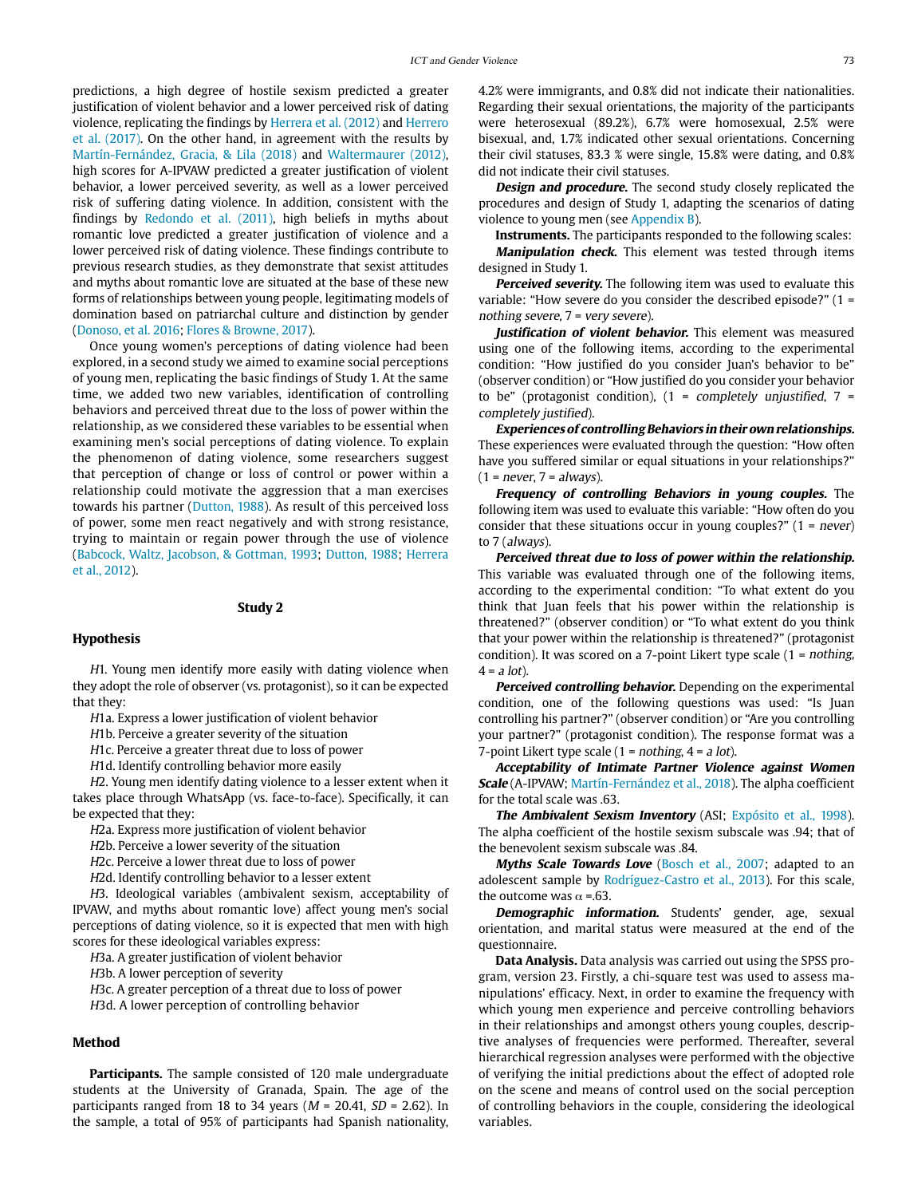predictions, a high degree of hostile sexism predicted a greater justification of violent behavior and a lower perceived risk of dating violence, replicating the findings by Herrera et al. (2012) and Herrero et al. (2017). On the other hand, in agreement with the results by Martín-Fernández, Gracia, & Lila (2018) and Waltermaurer (2012), high scores for A-IPVAW predicted a greater justification of violent behavior, a lower perceived severity, as well as a lower perceived risk of suffering dating violence. In addition, consistent with the findings by Redondo et al. (2011), high beliefs in myths about romantic love predicted a greater justification of violence and a lower perceived risk of dating violence. These findings contribute to previous research studies, as they demonstrate that sexist attitudes and myths about romantic love are situated at the base of these new forms of relationships between young people, legitimating models of domination based on patriarchal culture and distinction by gender (Donoso, et al. 2016; Flores & Browne, 2017).

Once young women's perceptions of dating violence had been explored, in a second study we aimed to examine social perceptions of young men, replicating the basic findings of Study 1. At the same time, we added two new variables, identification of controlling behaviors and perceived threat due to the loss of power within the relationship, as we considered these variables to be essential when examining men's social perceptions of dating violence. To explain the phenomenon of dating violence, some researchers suggest that perception of change or loss of control or power within a relationship could motivate the aggression that a man exercises towards his partner (Dutton, 1988). As result of this perceived loss of power, some men react negatively and with strong resistance, trying to maintain or regain power through the use of violence (Babcock, Waltz, Jacobson, & Gottman, 1993; Dutton, 1988; Herrera et al., 2012).

#### **Study 2**

## **Hypothesis**

H1. Young men identify more easily with dating violence when they adopt the role of observer (vs. protagonist), so it can be expected that they:

H1a. Express a lower justification of violent behavior

H1b. Perceive a greater severity of the situation

H1c. Perceive a greater threat due to loss of power

H1d. Identify controlling behavior more easily

H2. Young men identify dating violence to a lesser extent when it takes place through WhatsApp (vs. face-to-face). Specifically, it can be expected that they:

H2a. Express more justification of violent behavior

H2b. Perceive a lower severity of the situation

H2c. Perceive a lower threat due to loss of power

H2d. Identify controlling behavior to a lesser extent

H3. Ideological variables (ambivalent sexism, acceptability of IPVAW, and myths about romantic love) affect young men's social perceptions of dating violence, so it is expected that men with high scores for these ideological variables express:

H3a. A greater justification of violent behavior

H3b. A lower perception of severity

H3c. A greater perception of a threat due to loss of power

H3d. A lower perception of controlling behavior

## **Method**

**Participants.** The sample consisted of 120 male undergraduate students at the University of Granada, Spain. The age of the participants ranged from 18 to 34 years ( $M = 20.41$ ,  $SD = 2.62$ ). In the sample, a total of 95% of participants had Spanish nationality, 4.2% were immigrants, and 0.8% did not indicate their nationalities. Regarding their sexual orientations, the majority of the participants were heterosexual (89.2%), 6.7% were homosexual, 2.5% were bisexual, and, 1.7% indicated other sexual orientations. Concerning their civil statuses, 83.3 % were single, 15.8% were dating, and 0.8% did not indicate their civil statuses.

**Design and procedure.** The second study closely replicated the procedures and design of Study 1, adapting the scenarios of dating violence to young men (see Appendix B).

**Instruments.** The participants responded to the following scales: **Manipulation check.** This element was tested through items designed in Study 1.

**Perceived severity.** The following item was used to evaluate this variable: "How severe do you consider the described episode?" (1 = nothing severe, 7 = very severe).

Justification of violent behavior. This element was measured using one of the following items, according to the experimental condition: "How justified do you consider Juan's behavior to be" (observer condition) or "How justified do you consider your behavior to be" (protagonist condition),  $(1 - \text{completely unjustified}, 7 - \text{Simplies})$ completely justified).

**Experiences of controlling Behaviors in their own relationships.**  These experiences were evaluated through the question: "How often have you suffered similar or equal situations in your relationships?"  $(1 = never, 7 = always).$ 

**Frequency of controlling Behaviors in young couples.** The following item was used to evaluate this variable: "How often do you consider that these situations occur in young couples?"  $(1 = never)$ to 7 (always).

**Perceived threat due to loss of power within the relationship.**  This variable was evaluated through one of the following items, according to the experimental condition: "To what extent do you think that Juan feels that his power within the relationship is threatened?" (observer condition) or "To what extent do you think that your power within the relationship is threatened?" (protagonist condition). It was scored on a 7-point Likert type scale (1 = nothing,  $4 = a$  lot).

**Perceived controlling behavior.** Depending on the experimental condition, one of the following questions was used: "Is Juan controlling his partner?" (observer condition) or "Are you controlling your partner?" (protagonist condition). The response format was a 7-point Likert type scale  $(1 = nothing, 4 = a lot).$ 

**Acceptability of Intimate Partner Violence against Women Scale** (A-IPVAW; Martín-Fernández et al., 2018). The alpha coefficient for the total scale was .63.

**The Ambivalent Sexism Inventory** (ASI; Expósito et al., 1998). The alpha coefficient of the hostile sexism subscale was .94; that of the benevolent sexism subscale was .84.

Myths Scale Towards Love (Bosch et al., 2007; adapted to an adolescent sample by Rodríguez-Castro et al., 2013). For this scale, the outcome was  $\alpha$  =.63.

**Demographic information.** Students' gender, age, sexual orientation, and marital status were measured at the end of the questionnaire.

**Data Analysis.** Data analysis was carried out using the SPSS program, version 23. Firstly, a chi-square test was used to assess manipulations' efficacy. Next, in order to examine the frequency with which young men experience and perceive controlling behaviors in their relationships and amongst others young couples, descriptive analyses of frequencies were performed. Thereafter, several hierarchical regression analyses were performed with the objective of verifying the initial predictions about the effect of adopted role on the scene and means of control used on the social perception of controlling behaviors in the couple, considering the ideological variables.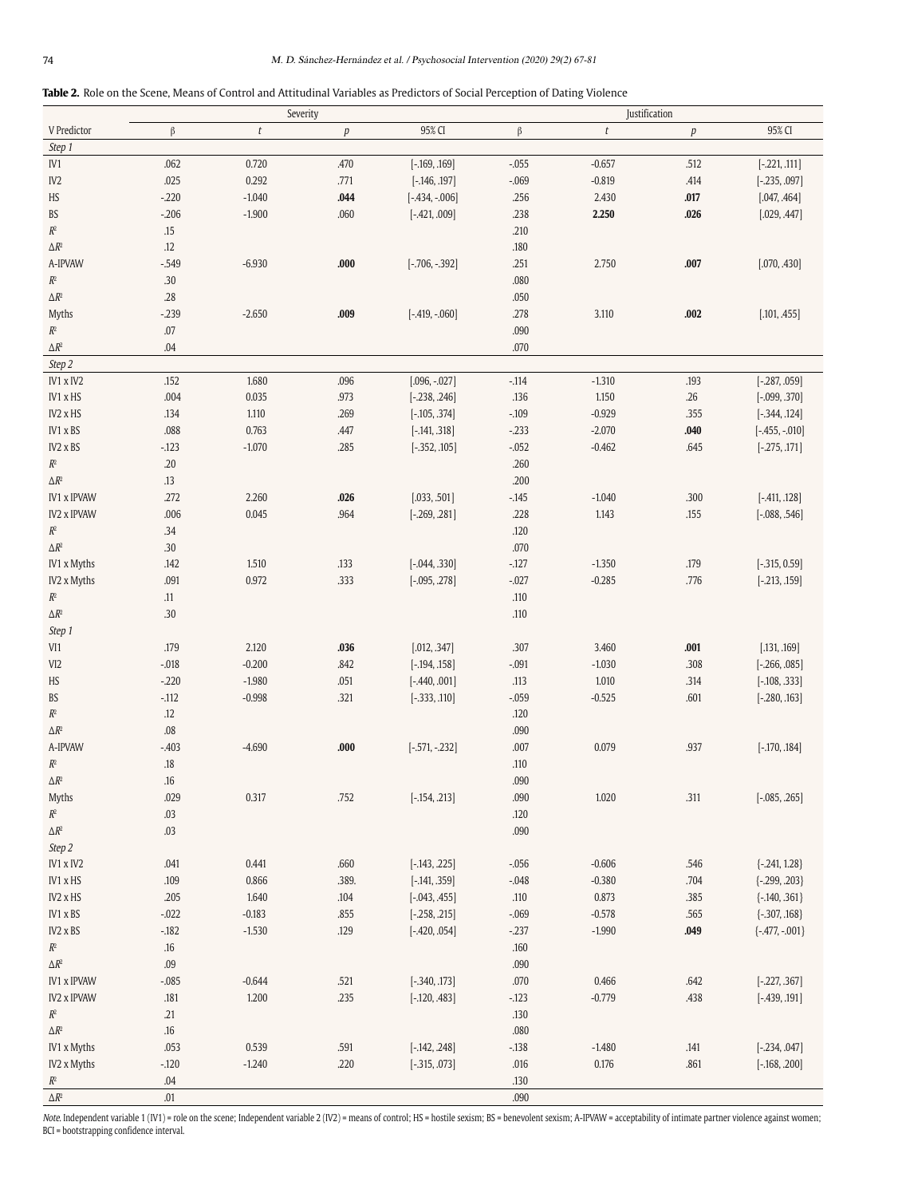| <b>Table 2.</b> Role on the Scene. Means of Control and Attitudinal Variables as Predictors of Social Perception of Dating Violence |  |  |  |  |
|-------------------------------------------------------------------------------------------------------------------------------------|--|--|--|--|
|                                                                                                                                     |  |  |  |  |

|                               | Severity   |                |                  |                  | Justification   |                      |                  |                  |  |  |
|-------------------------------|------------|----------------|------------------|------------------|-----------------|----------------------|------------------|------------------|--|--|
| V Predictor                   | $\beta$    | t              | $\boldsymbol{p}$ | 95% CI           | $\beta$         | $\it t$              | $\boldsymbol{p}$ | 95% CI           |  |  |
| Step 1                        |            |                |                  |                  |                 |                      |                  |                  |  |  |
| IV1                           | .062       | 0.720          | .470             | $[-.169, .169]$  | $-.055$         | $-0.657$             | .512             | $[-.221, .111]$  |  |  |
| IV <sub>2</sub>               | .025       | 0.292          | .771             | $[-.146, .197]$  | $-.069$         | $-0.819$             | .414             | $[-.235, .097]$  |  |  |
| $\rm HS$                      | $-220$     | $-1.040$       | .044             | $[-.434, -0.06]$ | .256            | 2.430                | .017             | [.047, .464]     |  |  |
| BS                            | $-206$     | $-1.900$       | .060             | $[-421, .009]$   | .238            | 2.250                | .026             | [.029, .447]     |  |  |
| $\mathbb{R}^2$                | .15        |                |                  |                  | .210            |                      |                  |                  |  |  |
| $\Delta R^2$                  | .12        |                |                  |                  | $.180$          |                      |                  |                  |  |  |
| A-IPVAW                       | $-0.549$   | $-6.930$       | .000             | $[-.706, -.392]$ | .251            | 2.750                | .007             | [.070, .430]     |  |  |
| $\mathbb{R}^2$                | .30        |                |                  |                  | .080            |                      |                  |                  |  |  |
| $\Delta R^2$                  | .28        |                |                  |                  | .050            |                      |                  |                  |  |  |
| Myths                         | $-239$     | $-2.650$       | .009             | $[-.419, -060]$  | .278            | 3.110                | .002             | [.101, .455]     |  |  |
| $\mathbb{R}^2$                | .07        |                |                  |                  | .090            |                      |                  |                  |  |  |
| $\Delta R^2$                  | .04        |                |                  |                  | .070            |                      |                  |                  |  |  |
| Step 2                        |            |                |                  |                  |                 |                      |                  |                  |  |  |
| IV1 x IV2                     | .152       | 1.680          | .096             | $[.096, -.027]$  | $-114$          | $-1.310$             | .193             | $[-.287, .059]$  |  |  |
| IV1 x HS                      | .004       | 0.035          | .973             | $[-.238, .246]$  | .136            | 1.150                | .26              | $[-.099, .370]$  |  |  |
| IV2 x HS                      | .134       | 1.110          | .269             | $[-.105, .374]$  | $-.109$         | $-0.929$             | .355             | $[-344, .124]$   |  |  |
| IV1 x BS                      | .088       | 0.763          | .447             | $[-.141, .318]$  | $-.233$         | $-2.070$             | .040             | $[-.455, -.010]$ |  |  |
| IV2 x BS                      | $-123$     | $-1.070$       | .285             | $[-352, 105]$    | $-.052$         | $-0.462$             | .645             | $[-.275, .171]$  |  |  |
| $\mathbb{R}^2$                | $.20\,$    |                |                  |                  | .260            |                      |                  |                  |  |  |
| $\Delta R^2$                  | .13        |                |                  |                  | .200            |                      |                  |                  |  |  |
| <b>IV1 x IPVAW</b>            | .272       | 2.260          | .026             | [.033, .501]     | $-0.145$        | $-1.040$             | .300             | $[-.411, .128]$  |  |  |
| <b>IV2 x IPVAW</b>            | .006       | 0.045          | .964             | $[-.269, .281]$  | .228            | 1.143                | .155             | $[-.088, .546]$  |  |  |
| $\mathbb{R}^2$                | .34        |                |                  |                  | .120            |                      |                  |                  |  |  |
| $\Delta R^2$                  | .30        |                |                  |                  | $.070$          |                      |                  |                  |  |  |
| IV1 x Myths                   | .142       | 1.510<br>0.972 | .133<br>.333     | $[-0.044, .330]$ | $-127$          | $-1.350$<br>$-0.285$ | .179<br>.776     | $[-315, 0.59]$   |  |  |
| IV2 x Myths<br>$\mathbb{R}^2$ | .091       |                |                  | $[-.095, .278]$  | $-.027$<br>.110 |                      |                  | $[-.213, .159]$  |  |  |
| $\Delta R^2$                  | .11<br>.30 |                |                  |                  | .110            |                      |                  |                  |  |  |
|                               |            |                |                  |                  |                 |                      |                  |                  |  |  |
| Step 1<br>VI1                 | .179       | 2.120          | .036             | [.012, .347]     | .307            | 3.460                | .001             | [.131, .169]     |  |  |
| VI <sub>2</sub>               | $-.018$    | $-0.200$       | .842             | $[-.194, .158]$  | $-.091$         | $-1.030$             | .308             | $[-.266, .085]$  |  |  |
| HS                            | $-220$     | $-1.980$       | .051             | $[-.440, .001]$  | .113            | 1.010                | .314             | $[-.108, .333]$  |  |  |
| BS                            | $-112$     | $-0.998$       | .321             | $[-333, .110]$   | $-.059$         | $-0.525$             | .601             | $[-.280, .163]$  |  |  |
| $\mathbb{R}^2$                | .12        |                |                  |                  | .120            |                      |                  |                  |  |  |
| $\Delta R^2$                  | $.08\,$    |                |                  |                  | .090            |                      |                  |                  |  |  |
| A-IPVAW                       | $-.403$    | $-4.690$       | .000             | $[-.571, -.232]$ | .007            | 0.079                | .937             | $[-.170, .184]$  |  |  |
| $\mathbb{R}^2$                | .18        |                |                  |                  | .110            |                      |                  |                  |  |  |
| $\Delta R^2$                  | .16        |                |                  |                  | .090            |                      |                  |                  |  |  |
| Myths                         | .029       | 0.317          | .752             | $[-.154, .213]$  | .090            | 1.020                | .311             | $[-.085, .265]$  |  |  |
| $\mathbb{R}^2$                | .03        |                |                  |                  | .120            |                      |                  |                  |  |  |
| $\Delta R^2$                  | .03        |                |                  |                  | .090            |                      |                  |                  |  |  |
| Step 2                        |            |                |                  |                  |                 |                      |                  |                  |  |  |
| IV1 x IV2                     | .041       | 0.441          | .660             | $[-.143, .225]$  | $-.056$         | $-0.606$             | .546             | $\{-241, 1.28\}$ |  |  |
| IV1 x HS                      | .109       | 0.866          | .389.            | $[-.141, .359]$  | $-.048$         | $-0.380$             | .704             | $\{-299, .203\}$ |  |  |
| IV2 x HS                      | .205       | 1.640          | $.104$           | $[-043, 045]$    | .110            | 0.873                | .385             | $\{-140, .361\}$ |  |  |
| IV1 x BS                      | $-.022$    | $-0.183$       | .855             | $[-.258, .215]$  | $-.069$         | $-0.578$             | .565             | $\{-307, .168\}$ |  |  |
| IV2 x BS                      | $-182$     | $-1.530$       | .129             | $[-420, .054]$   | $-237$          | $-1.990$             | .049             | $\{-477, -001\}$ |  |  |
| $\mathbb{R}^2$                | $.16\,$    |                |                  |                  | $.160$          |                      |                  |                  |  |  |
| $\Delta R^2$                  | $.09$      |                |                  |                  | .090            |                      |                  |                  |  |  |
| <b>IV1 x IPVAW</b>            | $-.085$    | $-0.644$       | .521             | $[-340, 173]$    | $.070$          | 0.466                | .642             | $[-.227, .367]$  |  |  |
| <b>IV2 x IPVAW</b>            | .181       | 1.200          | .235             | $[-.120, .483]$  | $-123$          | $-0.779$             | .438             | $[-.439, .191]$  |  |  |
| $\mathbb{R}^2$                | .21        |                |                  |                  | .130            |                      |                  |                  |  |  |
| $\Delta R^2$                  | $.16\,$    |                |                  |                  | .080            |                      |                  |                  |  |  |
| IV1 x Myths                   | .053       | 0.539          | .591             | $[-.142, .248]$  | $-138$          | $-1.480$             | .141             | $[-.234, .047]$  |  |  |
| IV2 x Myths                   | $-120$     | $-1.240$       | .220             | $[-.315, .073]$  | .016            | 0.176                | .861             | $[-.168, .200]$  |  |  |
| $R^2$                         | $.04\,$    |                |                  |                  | .130            |                      |                  |                  |  |  |
| $\Delta R^2$                  | .01        |                |                  |                  | .090            |                      |                  |                  |  |  |

Note. Independent variable 1 (IV1) = role on the scene; Independent variable 2 (IV2) = means of control; HS = hostile sexism; BS = benevolent sexism; A-IPVAW = acceptability of intimate partner violence against women; BCI = bootstrapping confidence interval.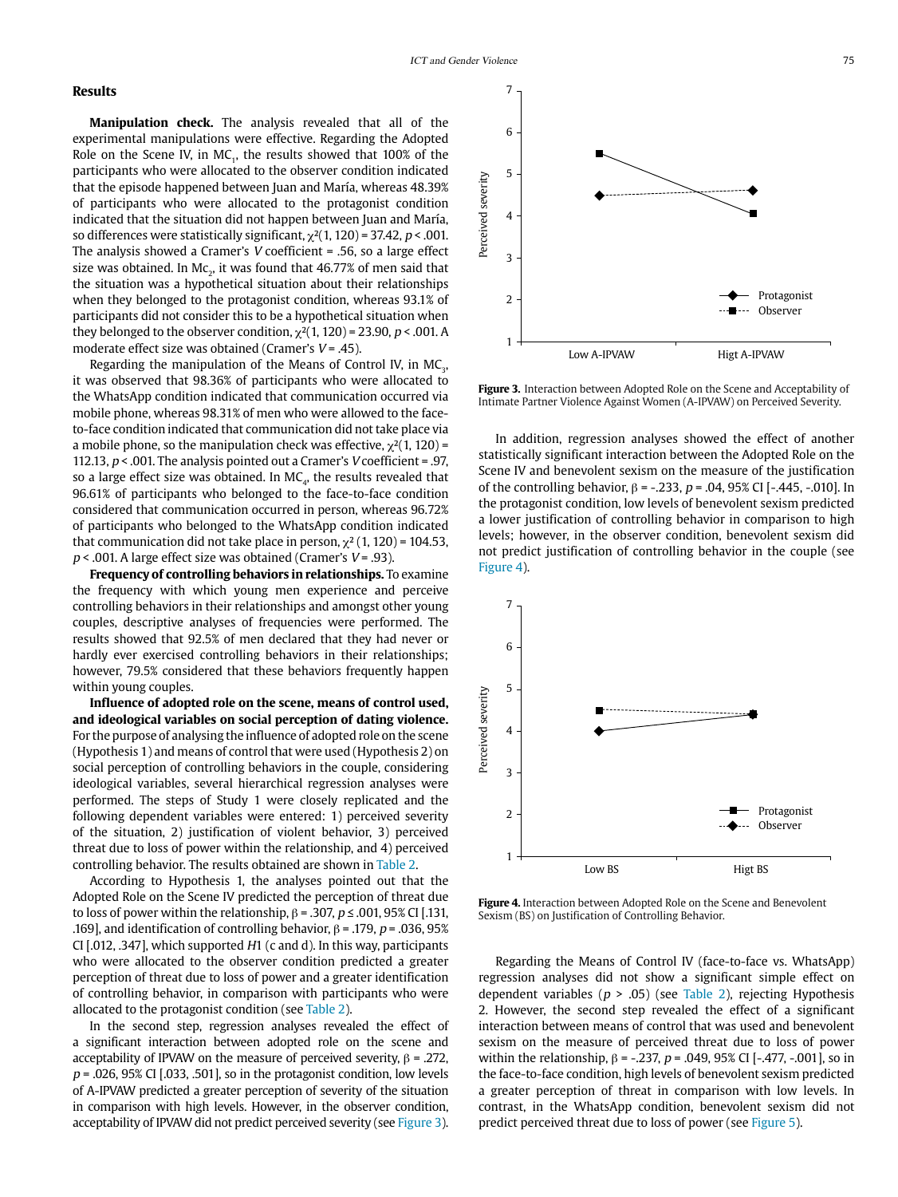## **Results**

**Manipulation check.** The analysis revealed that all of the experimental manipulations were effective. Regarding the Adopted Role on the Scene IV, in MC<sub>1</sub>, the results showed that 100% of the participants who were allocated to the observer condition indicated that the episode happened between Juan and María, whereas 48.39% of participants who were allocated to the protagonist condition indicated that the situation did not happen between Juan and María, so differences were statistically significant,  $\chi^2(1, 120)$  = 37.42, p < .001. The analysis showed a Cramer's V coefficient = .56, so a large effect size was obtained. In Mc $_{2}$ , it was found that 46.77% of men said that the situation was a hypothetical situation about their relationships when they belonged to the protagonist condition, whereas 93.1% of participants did not consider this to be a hypothetical situation when they belonged to the observer condition,  $\chi^2(1, 120)$  = 23.90, p < .001. A moderate effect size was obtained (Cramer's  $V = .45$ ).

Regarding the manipulation of the Means of Control IV, in  $MC<sub>3</sub>$ , it was observed that 98.36% of participants who were allocated to the WhatsApp condition indicated that communication occurred via mobile phone, whereas 98.31% of men who were allowed to the faceto-face condition indicated that communication did not take place via a mobile phone, so the manipulation check was effective,  $\chi^2(1, 120)$  = 112.13,  $p < .001$ . The analysis pointed out a Cramer's *V* coefficient = .97, so a large effect size was obtained. In  $MC<sub>a</sub>$ , the results revealed that 96.61% of participants who belonged to the face-to-face condition considered that communication occurred in person, whereas 96.72% of participants who belonged to the WhatsApp condition indicated that communication did not take place in person,  $\chi^2$  (1, 120) = 104.53,  $p < .001$ . A large effect size was obtained (Cramer's  $V = .93$ ).

**Frequency of controlling behaviors in relationships.** To examine the frequency with which young men experience and perceive controlling behaviors in their relationships and amongst other young couples, descriptive analyses of frequencies were performed. The results showed that 92.5% of men declared that they had never or hardly ever exercised controlling behaviors in their relationships; however, 79.5% considered that these behaviors frequently happen within young couples.

**Influence of adopted role on the scene, means of control used, and ideological variables on social perception of dating violence.**  For the purpose of analysing the influence of adopted role on the scene (Hypothesis 1) and means of control that were used (Hypothesis 2) on social perception of controlling behaviors in the couple, considering ideological variables, several hierarchical regression analyses were performed. The steps of Study 1 were closely replicated and the following dependent variables were entered: 1) perceived severity of the situation, 2) justification of violent behavior, 3) perceived threat due to loss of power within the relationship, and 4) perceived controlling behavior. The results obtained are shown in Table 2.

According to Hypothesis 1, the analyses pointed out that the Adopted Role on the Scene IV predicted the perception of threat due to loss of power within the relationship,  $\beta$  = .307,  $p \le 0.001$ , 95% CI [.131, .169], and identification of controlling behavior,  $β = 0.179$ ,  $p = 0.036$ ,  $95%$ CI [.012, .347], which supported H1 (c and d). In this way, participants who were allocated to the observer condition predicted a greater perception of threat due to loss of power and a greater identification of controlling behavior, in comparison with participants who were allocated to the protagonist condition (see Table 2).

In the second step, regression analyses revealed the effect of a significant interaction between adopted role on the scene and acceptability of IPVAW on the measure of perceived severity,  $β = .272$ ,  $p = 0.026$ , 95% CI [.033, .501], so in the protagonist condition, low levels of A-IPVAW predicted a greater perception of severity of the situation in comparison with high levels. However, in the observer condition, acceptability of IPVAW did not predict perceived severity (see Figure 3).



**Figure 3.** Interaction between Adopted Role on the Scene and Acceptability of Intimate Partner Violence Against Women (A-IPVAW) on Perceived Severity.

In addition, regression analyses showed the effect of another statistically significant interaction between the Adopted Role on the Scene IV and benevolent sexism on the measure of the justification of the controlling behavior,  $β = -.233$ ,  $p = .04$ , 95% CI [-.445, -.010]. In the protagonist condition, low levels of benevolent sexism predicted a lower justification of controlling behavior in comparison to high levels; however, in the observer condition, benevolent sexism did not predict justification of controlling behavior in the couple (see Figure 4).



**Figure 4.** Interaction between Adopted Role on the Scene and Benevolent Sexism (BS) on Justification of Controlling Behavior.

Regarding the Means of Control IV (face-to-face vs. WhatsApp) regression analyses did not show a significant simple effect on dependent variables ( $p > .05$ ) (see Table 2), rejecting Hypothesis 2. However, the second step revealed the effect of a significant interaction between means of control that was used and benevolent sexism on the measure of perceived threat due to loss of power within the relationship,  $β = -.237$ ,  $p = .049$ ,  $95%$  CI [-.477, -.001], so in the face-to-face condition, high levels of benevolent sexism predicted a greater perception of threat in comparison with low levels. In contrast, in the WhatsApp condition, benevolent sexism did not predict perceived threat due to loss of power (see Figure 5).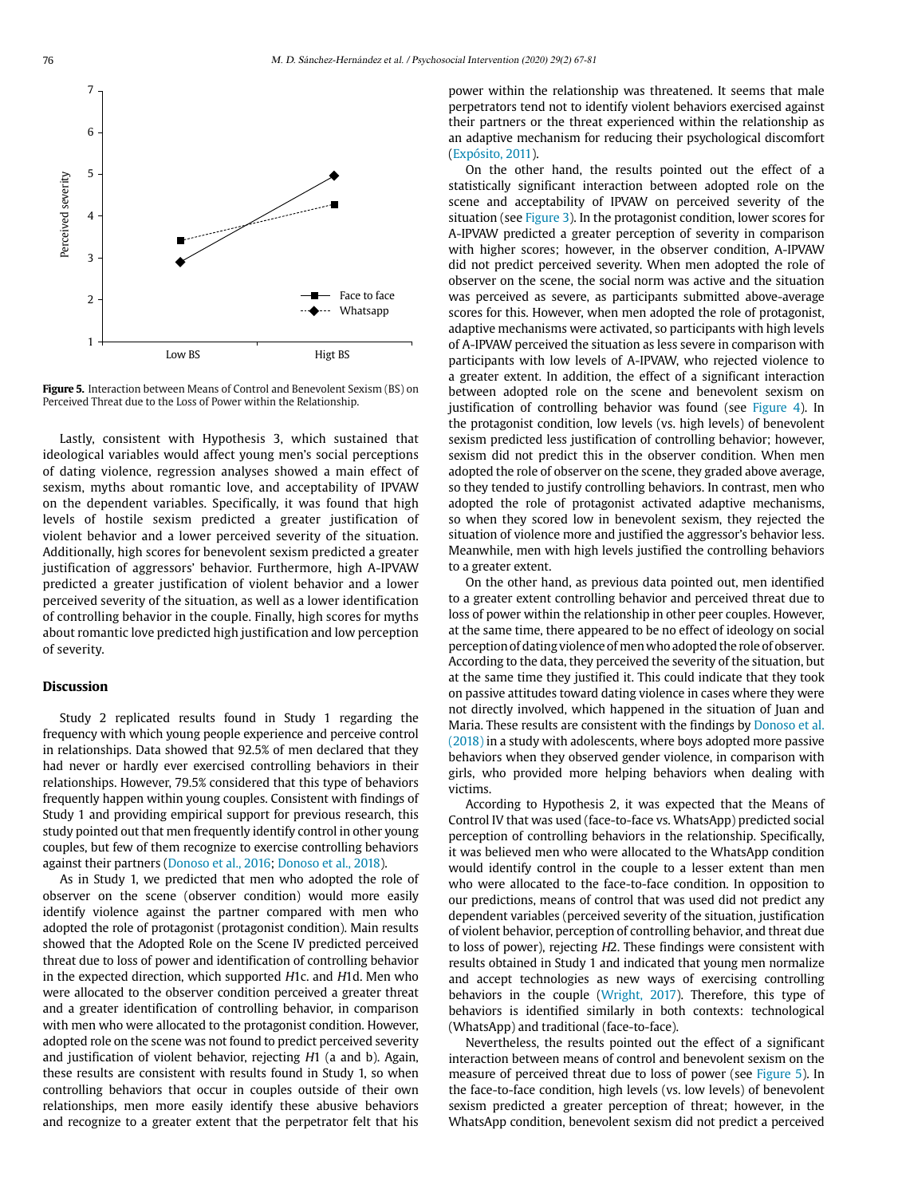

**Figure 5.** Interaction between Means of Control and Benevolent Sexism (BS) on Perceived Threat due to the Loss of Power within the Relationship.

Lastly, consistent with Hypothesis 3, which sustained that ideological variables would affect young men's social perceptions of dating violence, regression analyses showed a main effect of sexism, myths about romantic love, and acceptability of IPVAW on the dependent variables. Specifically, it was found that high levels of hostile sexism predicted a greater justification of violent behavior and a lower perceived severity of the situation. Additionally, high scores for benevolent sexism predicted a greater justification of aggressors' behavior. Furthermore, high A-IPVAW predicted a greater justification of violent behavior and a lower perceived severity of the situation, as well as a lower identification of controlling behavior in the couple. Finally, high scores for myths about romantic love predicted high justification and low perception of severity.

## **Discussion**

Study 2 replicated results found in Study 1 regarding the frequency with which young people experience and perceive control in relationships. Data showed that 92.5% of men declared that they had never or hardly ever exercised controlling behaviors in their relationships. However, 79.5% considered that this type of behaviors frequently happen within young couples. Consistent with findings of Study 1 and providing empirical support for previous research, this study pointed out that men frequently identify control in other young couples, but few of them recognize to exercise controlling behaviors against their partners (Donoso et al., 2016; Donoso et al., 2018).

As in Study 1, we predicted that men who adopted the role of observer on the scene (observer condition) would more easily identify violence against the partner compared with men who adopted the role of protagonist (protagonist condition). Main results showed that the Adopted Role on the Scene IV predicted perceived threat due to loss of power and identification of controlling behavior in the expected direction, which supported H1c. and H1d. Men who were allocated to the observer condition perceived a greater threat and a greater identification of controlling behavior, in comparison with men who were allocated to the protagonist condition. However, adopted role on the scene was not found to predict perceived severity and justification of violent behavior, rejecting H1 (a and b). Again, these results are consistent with results found in Study 1, so when controlling behaviors that occur in couples outside of their own relationships, men more easily identify these abusive behaviors and recognize to a greater extent that the perpetrator felt that his power within the relationship was threatened. It seems that male perpetrators tend not to identify violent behaviors exercised against their partners or the threat experienced within the relationship as an adaptive mechanism for reducing their psychological discomfort (Expósito, 2011).

On the other hand, the results pointed out the effect of a statistically significant interaction between adopted role on the scene and acceptability of IPVAW on perceived severity of the situation (see Figure 3). In the protagonist condition, lower scores for A-IPVAW predicted a greater perception of severity in comparison with higher scores; however, in the observer condition, A-IPVAW did not predict perceived severity. When men adopted the role of observer on the scene, the social norm was active and the situation was perceived as severe, as participants submitted above-average scores for this. However, when men adopted the role of protagonist, adaptive mechanisms were activated, so participants with high levels of A-IPVAW perceived the situation as less severe in comparison with participants with low levels of A-IPVAW, who rejected violence to a greater extent. In addition, the effect of a significant interaction between adopted role on the scene and benevolent sexism on justification of controlling behavior was found (see Figure 4). In the protagonist condition, low levels (vs. high levels) of benevolent sexism predicted less justification of controlling behavior; however, sexism did not predict this in the observer condition. When men adopted the role of observer on the scene, they graded above average, so they tended to justify controlling behaviors. In contrast, men who adopted the role of protagonist activated adaptive mechanisms, so when they scored low in benevolent sexism, they rejected the situation of violence more and justified the aggressor's behavior less. Meanwhile, men with high levels justified the controlling behaviors to a greater extent.

On the other hand, as previous data pointed out, men identified to a greater extent controlling behavior and perceived threat due to loss of power within the relationship in other peer couples. However, at the same time, there appeared to be no effect of ideology on social perception of dating violence of men who adopted the role of observer. According to the data, they perceived the severity of the situation, but at the same time they justified it. This could indicate that they took on passive attitudes toward dating violence in cases where they were not directly involved, which happened in the situation of Juan and Maria. These results are consistent with the findings by Donoso et al. (2018) in a study with adolescents, where boys adopted more passive behaviors when they observed gender violence, in comparison with girls, who provided more helping behaviors when dealing with victims.

According to Hypothesis 2, it was expected that the Means of Control IV that was used (face-to-face vs. WhatsApp) predicted social perception of controlling behaviors in the relationship. Specifically, it was believed men who were allocated to the WhatsApp condition would identify control in the couple to a lesser extent than men who were allocated to the face-to-face condition. In opposition to our predictions, means of control that was used did not predict any dependent variables (perceived severity of the situation, justification of violent behavior, perception of controlling behavior, and threat due to loss of power), rejecting H2. These findings were consistent with results obtained in Study 1 and indicated that young men normalize and accept technologies as new ways of exercising controlling behaviors in the couple (Wright, 2017). Therefore, this type of behaviors is identified similarly in both contexts: technological (WhatsApp) and traditional (face-to-face).

Nevertheless, the results pointed out the effect of a significant interaction between means of control and benevolent sexism on the measure of perceived threat due to loss of power (see Figure 5). In the face-to-face condition, high levels (vs. low levels) of benevolent sexism predicted a greater perception of threat; however, in the WhatsApp condition, benevolent sexism did not predict a perceived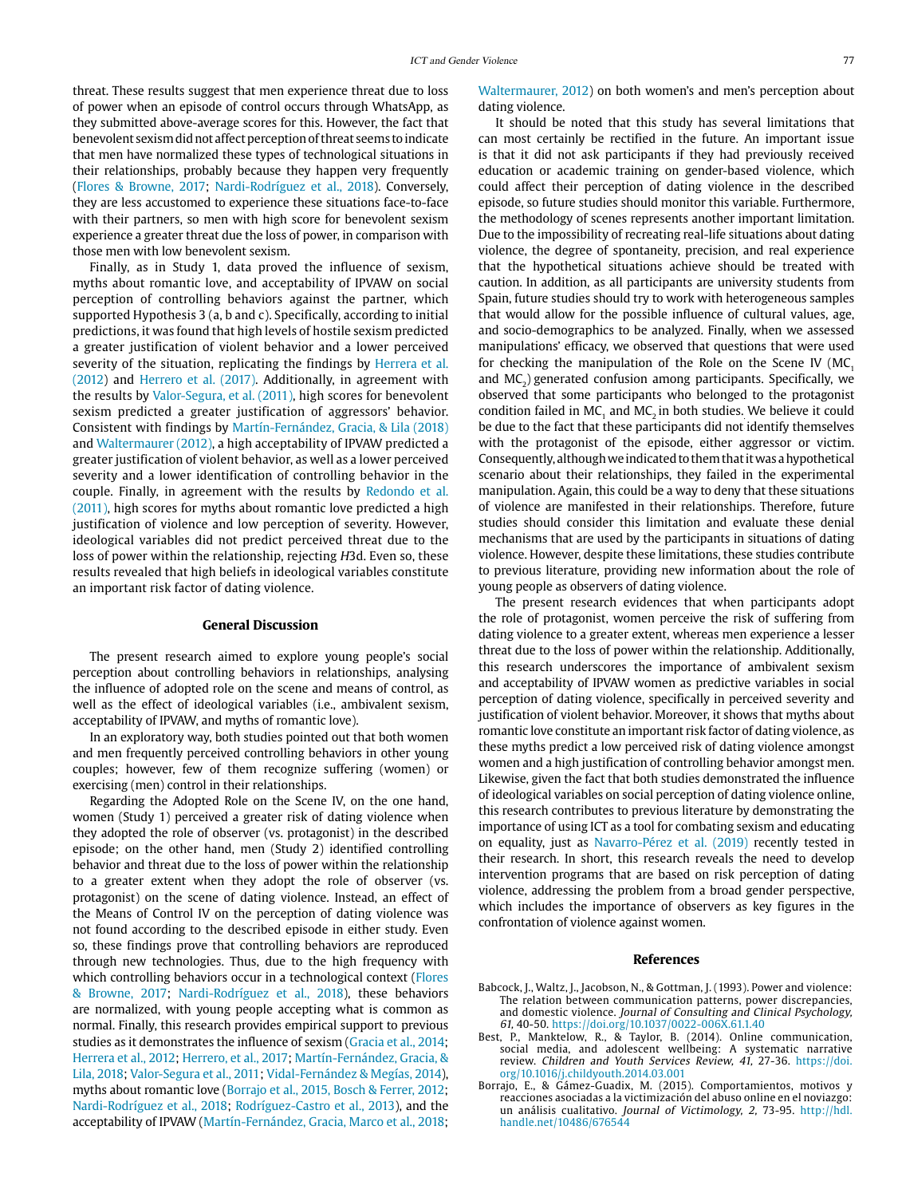threat. These results suggest that men experience threat due to loss of power when an episode of control occurs through WhatsApp, as they submitted above-average scores for this. However, the fact that benevolent sexism did not affect perception of threat seems to indicate that men have normalized these types of technological situations in their relationships, probably because they happen very frequently (Flores & Browne, 2017; Nardi-Rodríguez et al., 2018). Conversely, they are less accustomed to experience these situations face-to-face with their partners, so men with high score for benevolent sexism experience a greater threat due the loss of power, in comparison with those men with low benevolent sexism.

Finally, as in Study 1, data proved the influence of sexism, myths about romantic love, and acceptability of IPVAW on social perception of controlling behaviors against the partner, which supported Hypothesis 3 (a, b and c). Specifically, according to initial predictions, it was found that high levels of hostile sexism predicted a greater justification of violent behavior and a lower perceived severity of the situation, replicating the findings by Herrera et al. (2012) and Herrero et al. (2017). Additionally, in agreement with the results by Valor-Segura, et al. (2011), high scores for benevolent sexism predicted a greater justification of aggressors' behavior. Consistent with findings by Martín-Fernández, Gracia, & Lila (2018) and Waltermaurer (2012), a high acceptability of IPVAW predicted a greater justification of violent behavior, as well as a lower perceived severity and a lower identification of controlling behavior in the couple. Finally, in agreement with the results by Redondo et al. (2011), high scores for myths about romantic love predicted a high justification of violence and low perception of severity. However, ideological variables did not predict perceived threat due to the loss of power within the relationship, rejecting H3d. Even so, these results revealed that high beliefs in ideological variables constitute an important risk factor of dating violence.

#### **General Discussion**

The present research aimed to explore young people's social perception about controlling behaviors in relationships, analysing the influence of adopted role on the scene and means of control, as well as the effect of ideological variables (i.e., ambivalent sexism, acceptability of IPVAW, and myths of romantic love).

In an exploratory way, both studies pointed out that both women and men frequently perceived controlling behaviors in other young couples; however, few of them recognize suffering (women) or exercising (men) control in their relationships.

Regarding the Adopted Role on the Scene IV, on the one hand, women (Study 1) perceived a greater risk of dating violence when they adopted the role of observer (vs. protagonist) in the described episode; on the other hand, men (Study 2) identified controlling behavior and threat due to the loss of power within the relationship to a greater extent when they adopt the role of observer (vs. protagonist) on the scene of dating violence. Instead, an effect of the Means of Control IV on the perception of dating violence was not found according to the described episode in either study. Even so, these findings prove that controlling behaviors are reproduced through new technologies. Thus, due to the high frequency with which controlling behaviors occur in a technological context (Flores & Browne, 2017; Nardi-Rodríguez et al., 2018), these behaviors are normalized, with young people accepting what is common as normal. Finally, this research provides empirical support to previous studies as it demonstrates the influence of sexism (Gracia et al., 2014; Herrera et al., 2012; Herrero, et al., 2017; Martín-Fernández, Gracia, & Lila, 2018; Valor-Segura et al., 2011; Vidal-Fernández & Megías, 2014), myths about romantic love (Borrajo et al., 2015, Bosch [&](https://es.wikipedia.org/wiki/%26) Ferrer, 2012; Nardi-Rodríguez et al., 2018; Rodríguez-Castro et al., 2013), and the acceptability of IPVAW (Martín-Fernández, Gracia, Marco et al., 2018;

Waltermaurer, 2012) on both women's and men's perception about dating violence.

It should be noted that this study has several limitations that can most certainly be rectified in the future. An important issue is that it did not ask participants if they had previously received education or academic training on gender-based violence, which could affect their perception of dating violence in the described episode, so future studies should monitor this variable. Furthermore, the methodology of scenes represents another important limitation. Due to the impossibility of recreating real-life situations about dating violence, the degree of spontaneity, precision, and real experience that the hypothetical situations achieve should be treated with caution. In addition, as all participants are university students from Spain, future studies should try to work with heterogeneous samples that would allow for the possible influence of cultural values, age, and socio-demographics to be analyzed. Finally, when we assessed manipulations' efficacy, we observed that questions that were used for checking the manipulation of the Role on the Scene IV (MC, and  $MC<sub>2</sub>$ ) generated confusion among participants. Specifically, we observed that some participants who belonged to the protagonist condition failed in MC<sub>1</sub> and MC<sub>2</sub> in both studies. We believe it could be due to the fact that these participants did not identify themselves with the protagonist of the episode, either aggressor or victim. Consequently, although we indicated to them that it was a hypothetical scenario about their relationships, they failed in the experimental manipulation. Again, this could be a way to deny that these situations of violence are manifested in their relationships. Therefore, future studies should consider this limitation and evaluate these denial mechanisms that are used by the participants in situations of dating violence. However, despite these limitations, these studies contribute to previous literature, providing new information about the role of young people as observers of dating violence.

The present research evidences that when participants adopt the role of protagonist, women perceive the risk of suffering from dating violence to a greater extent, whereas men experience a lesser threat due to the loss of power within the relationship. Additionally, this research underscores the importance of ambivalent sexism and acceptability of IPVAW women as predictive variables in social perception of dating violence, specifically in perceived severity and justification of violent behavior. Moreover, it shows that myths about romantic love constitute an important risk factor of dating violence, as these myths predict a low perceived risk of dating violence amongst women and a high justification of controlling behavior amongst men. Likewise, given the fact that both studies demonstrated the influence of ideological variables on social perception of dating violence online, this research contributes to previous literature by demonstrating the importance of using ICT as a tool for combating sexism and educating on equality, just as Navarro-Pérez et al. (2019) recently tested in their research. In short, this research reveals the need to develop intervention programs that are based on risk perception of dating violence, addressing the problem from a broad gender perspective, which includes the importance of observers as key figures in the confrontation of violence against women.

#### **References**

- Babcock, J., Waltz, J., Jacobson, N., & Gottman, J. (1993). Power and violence: The relation between communication patterns, power discrepancies, and domestic violence. Journal of Consulting and Clinical Psychology, 61, 40-50. https://doi.org/10.1037/0022-006X.61.1.40
- Best, P., Manktelow, R., [&](https://es.wikipedia.org/wiki/%26) Taylor, B. (2014). Online communication, social media, and adolescent wellbeing: A systematic narrative review. Children and Youth Services Review, 41, 27-36. [https://doi.](https://doi.org/10.1016/j.childyouth.2014.03.001) [org/10.1016/j.childyouth.2014.03.001](https://doi.org/10.1016/j.childyouth.2014.03.001)
- Borrajo, E., [&](https://es.wikipedia.org/wiki/%26) Gámez-Guadix, M. (2015). Comportamientos, motivos y reacciones asociadas a la victimización del abuso online en el noviazgo: un análisis cualitativo. Journal of Victimology, 2, 73-95. [http://hdl.](http://hdl.handle.net/10486/676544) [handle.net/10486/676544](http://hdl.handle.net/10486/676544)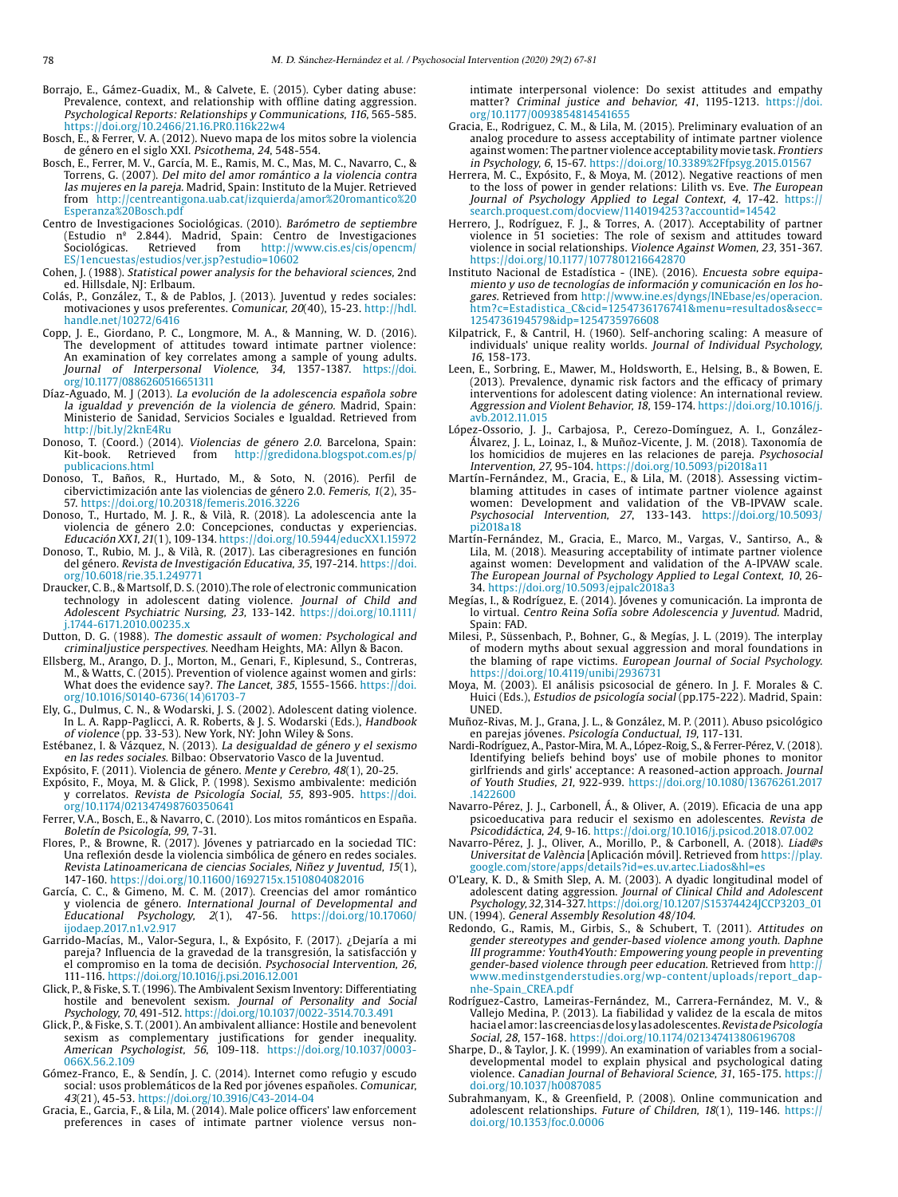- Borrajo, E., Gámez-Guadix, M., [&](https://es.wikipedia.org/wiki/%26) Calvete, E. (2015). Cyber dating abuse: Prevalence, context, and relationship with offline dating aggression. Psychological Reports: Relationships y Communications, 116, 565-585. [https://doi.org/10.2466/21.16.PR0.116k22w4](https://doi.org/10.2466%2F21.16.PR0.116k22w4)
- Bosch, E., [&](https://es.wikipedia.org/wiki/%26) Ferrer, V. A. (2012). Nuevo mapa de los mitos sobre la violencia de género en el siglo XXI. Psicothema, 24, 548-554.
- Bosch, E., Ferrer, M. V., García, M. E., Ramis, M. C., Mas, M. C., Navarro, C., [&](https://es.wikipedia.org/wiki/%26) Torrens, G. (2007). Del mito del amor romántico a la violencia contra las mujeres en la pareja. Madrid, Spain: Instituto de la Mujer. Retrieved from http://centreantigona.uab.cat/izquierda/amor%20romantico%20 Esperanza%20Bosch.pdf
- Centro de Investigaciones Sociológicas. (2010). Barómetro de septiembre (Estudio nº 2.844). Madrid, Spain: Centro de Investigaciones Sociológicas. Retrieved from [http://www.cis.es/cis/opencm/](http://www.cis.es/cis/opencm/ES/1encuestas/estudios/ver.jsp?estudio=10602) [ES/1encuestas/estudios/ver.jsp?estudio=10602](http://www.cis.es/cis/opencm/ES/1encuestas/estudios/ver.jsp?estudio=10602)
- Cohen, J. (1988). Statistical power analysis for the behavioral sciences, 2nd ed. Hillsdale, NJ: Erlbaum.
- Colás, P., González, T., [&](https://es.wikipedia.org/wiki/%26) de Pablos, J. (2013). Juventud y redes sociales: motivaciones y usos preferentes. Comunicar, 20(40), 15-23. [http://hdl.](http://hdl.handle.net/10272/6416) [handle.net/10272/6416](http://hdl.handle.net/10272/6416)
- Copp, J. E., Giordano, P. C., Longmore, M. A., [&](https://es.wikipedia.org/wiki/%26) Manning, W. D. (2016). The development of attitudes toward intimate partner violence: An examination of key correlates among a sample of young adults. Journal of Interpersonal Violence, 34, 1357-1387. [https://doi.](https://doi.org/10.1177/0886260516651311
) [org/10.1177/0886260516651311](https://doi.org/10.1177/0886260516651311
)
- Díaz-Aguado, M. J (2013). La evolución de la adolescencia española sobre la igualdad y prevención de la violencia de género. Madrid, Spain: Ministerio de Sanidad, Servicios Sociales e Igualdad. Retrieved from <http://bit.ly/2knE4Ru>
- Donoso, T. (Coord.) (2014). Violencias de género 2.0. Barcelona, Spain: Kit-book. Retrieved from [http://gredidona.blogspot.com.es/p/](http://gredidona.blogspot.com.es/p/publicacions.html) [publicacions.html](http://gredidona.blogspot.com.es/p/publicacions.html)
- Donoso, T., Baños, R., Hurtado, M., [&](https://es.wikipedia.org/wiki/%26) Soto, N. (2016). Perfil de cibervictimización ante las violencias de género 2.0. Femeris, 1(2), 35- 57. https://doi.org/[10.20318/femeris.2016.3226](https://doi.org/10.20318/femeris.2016.3226)
- Donoso, T., Hurtado, M. J. R., [&](https://es.wikipedia.org/wiki/%26) Vilà, R. (2018). La adolescencia ante la violencia de género 2.0: Concepciones, conductas y experiencias. Educación XX1, 21(1), 109-134. https://doi.org/10.5944/educXX1.15972
- Donoso, T., Rubio, M. J., [&](https://es.wikipedia.org/wiki/%26) Vilà, R. (2017). Las ciberagresiones en función del género. Revista de Investigación Educativa, 35, 197-214. https://doi. org/[10.6018/rie.35.1.249771](https://doi.org/10.6018/rie.35.1.249771)
- Draucker, C. B., & Martsolf, D. S. (2010).The role of electronic communication technology in adolescent dating violence. Journal of Child and Adolescent Psychiatric Nursing, 23, 133-142. [https://doi.org/10.1111/](https://doi.org/10.1111/j.1744-6171.2010.00235.x) [j.1744-6171.2010.00235.x](https://doi.org/10.1111/j.1744-6171.2010.00235.x)
- Dutton, D. G. (1988). The domestic assault of women: Psychological and criminaljustice perspectives. Needham Heights, MA: Allyn & Bacon.
- Ellsberg, M., Arango, D. J., Morton, M., Genari, F., Kiplesund, S., Contreras, M., & Watts, C. (2015). Prevention of violence against women and girls: What does the evidence say?. The Lancet, 385, 1555-1566. [https://doi.](https://doi.org/10.1016/S0140-6736(14)61703-7) [org/10.1016/S0140-6736\(14\)61703-7](https://doi.org/10.1016/S0140-6736(14)61703-7)
- Ely, G., Dulmus, C. N., & Wodarski, J. S. (2002). Adolescent dating violence. In L. A. Rapp-Paglicci, A. R. Roberts, & J. S. Wodarski (Eds.), Handbook of violence (pp. 33-53). New York, NY: John Wiley & Sons.
- Estébanez, I. & Vázquez, N. (2013). La desigualdad de género y el sexismo en las redes sociales. Bilbao: Observatorio Vasco de la Juventud. Expósito, F. (2011). Violencia de género. Mente y Cerebro, 48(1), 20-25.
- Expósito, F., Moya, M. & Glick, P. (1998). Sexismo ambivalente: medición y correlatos. Revista de Psicología Social, 55, 893-905. [https://doi.](https://doi.org/10.1174/021347498760350641) [org/10.1174/021347498760350641](https://doi.org/10.1174/021347498760350641)

Ferrer, V.A., Bosch, E., & Navarro, C. (2010). Los mitos románticos en España. Boletín de Psicología, 99, 7-31.

- Flores, P., & Browne, R. (2017). Jóvenes y patriarcado en la sociedad TIC: Una reflexión desde la violencia simbólica de género en redes sociales. Revista Latinoamericana de ciencias Sociales, Niñez y Juventud, 15(1), 147-160. <https://doi.org/10.11600/1692715x.1510804082016>
- García, C. C., & Gimeno, M. C. M. (2017). Creencias del amor romántico y violencia de género. International Journal of Developmental and Educational Psychology, 2(1), 47-56. https://doi.org/10.17060/ 2(1), 47-56. [https://doi.org/10.17060/](https://doi.org/10.17060/ijodaep.2017.n1.v2.917) [ijodaep.2017.n1.v2.917](https://doi.org/10.17060/ijodaep.2017.n1.v2.917)
- Garrido-Macías, M., Valor-Segura, I., & Expósito, F. (2017). ¿Dejaría a mi pareja? Influencia de la gravedad de la transgresión, la satisfacción y el compromiso en la toma de decisión. Psychosocial Intervention, 26, 111-116. <https://doi.org/10.1016/j.psi.2016.12.001>
- Glick, P., & Fiske, S. T. (1996). The Ambivalent Sexism Inventory: Differentiating hostile and benevolent sexism. Journal of Personality and Social Psychology, 70, 491-512.<https://doi.org/10.1037/0022-3514.70.3.491>
- Glick, P., & Fiske, S. T. (2001). An ambivalent alliance: Hostile and benevolent sexism as complementary justifications for gender inequality. American Psychologist, 56, 109-118. [https://doi.org/10.1037/0003-](https://doi.org/10.1037/0003-066X.56.2.109) [066X.56.2.109](https://doi.org/10.1037/0003-066X.56.2.109)
- Gómez-Franco, E., & Sendín, J. C. (2014). Internet como refugio y escudo social: usos problemáticos de la Red por jóvenes españoles. Comunicar, 43(21), 45-53. <https://doi.org/10.3916/C43-2014-04>

Gracia, E., Garcia, F., & Lila, M. (2014). Male police officers' law enforcement preferences in cases of intimate partner violence versus nonintimate interpersonal violence: Do sexist attitudes and empathy matter? Criminal justice and behavior, 41, 1195-1213. [https://doi.](https://doi.org/10.1177%2F0093854814541655) [org/10.1177/0093854814541655](https://doi.org/10.1177%2F0093854814541655)

- Gracia, E., Rodriguez, C. M., & Lila, M. (2015). Preliminary evaluation of an analog procedure to assess acceptability of intimate partner violence against women: The partner violence acceptability movie task. Frontiers in Psychology, 6, 15-67. <https://doi.org/10.3389%2Ffpsyg.2015.01567>
- Herrera, M. C., Expósito, F., & Moya, M. (2012). Negative reactions of men to the loss of power in gender relations: Lilith vs. Eve. The European Journal of Psychology Applied to Legal Context, 4, 17-42. [https://](https://search.proquest.com/docview/1140194253?accountid=14542) [search.proquest.com/docview/1140194253?accountid=14542](https://search.proquest.com/docview/1140194253?accountid=14542)
- Herrero, J., Rodríguez, F. J., & Torres, A. (2017). Acceptability of partner violence in 51 societies: The role of sexism and attitudes toward violence in social relationships. Violence Against Women, 23, 351-367. https://doi.org/10.1177/1077801216642870
- Instituto Nacional de Estadística (INE). (2016). Encuesta sobre equipamiento y uso de tecnologías de información y comunicación en los hogares. Retrieved from http://www.ine.es/dyngs/INEbase/es/operacion[.](http://www.ine.es/dyngs/INEbase/es/operacion. htm?c=Estadistica_C&cid=1254736176741&menu=resultados&secc=
1254736194579&idp=1254735976608)  htm?c=Estadistica\_C&cid=1254736176741&menu=resultados&secc= 1254736194579&idp=1254735976608
- Kilpatrick, F., & Cantril, H. (1960). Self-anchoring scaling: A measure of individuals' unique reality worlds. Journal of Individual Psychology, 16, 158-173.
- Leen, E., Sorbring, E., Mawer, M., Holdsworth, E., Helsing, B., & Bowen, E. (2013). Prevalence, dynamic risk factors and the efficacy of primary interventions for adolescent dating violence: An international review. Aggression and Violent Behavior, 18, 159-174. [https://doi.org/10.1016/j.](https://doi.org/10.1016/j.avb.2012.11.015) [avb.2012.11.015](https://doi.org/10.1016/j.avb.2012.11.015)
- López-Ossorio, J. J., Carbajosa, P., Cerezo-Domínguez, A. I., González-Álvarez, J. L., Loinaz, I., & Muñoz-Vicente, J. M. (2018). Taxonomía de los homicidios de mujeres en las relaciones de pareja. Psychosocial Intervention, 27, 95-104. <https://doi.org/10.5093/pi2018a11>
- Martín-Fernández, M., Gracia, E., & Lila, M. (2018). Assessing victimblaming attitudes in cases of intimate partner violence against women: Development and validation of the VB-IPVAW scale. Psychosocial Intervention, 27, 133-143. [https://doi.org/10.5093/](https://doi.org/10.5093/pi2018a18) [pi2018a18](https://doi.org/10.5093/pi2018a18)
- Martín-Fernández, M., Gracia, E., Marco, M., Vargas, V., Santirso, A., & Lila, M. (2018). Measuring acceptability of intimate partner violence against women: Development and validation of the A-IPVAW scale. The European Journal of Psychology Applied to Legal Context, 10, 26- 34. <https://doi.org/10.5093/ejpalc2018a3>
- Megías, I., & Rodríguez, E. (2014). Jóvenes y comunicación. La impronta de lo virtual. Centro Reina Sofía sobre Adolescencia y Juventud. Madrid, Spain: FAD.
- Milesi, P., Süssenbach, P., Bohner, G., & Megías, J. L. (2019). The interplay of modern myths about sexual aggression and moral foundations in the blaming of rape victims. European Journal of Social Psychology. https://doi.org[/10.4119/unibi/2936731](http://doi.org/10.4119/unibi/2936731)
- Moya, M. (2003). El análisis psicosocial de género. In J. F. Morales & C. Huici (Eds.), Estudios de psicología social (pp.175-222). Madrid, Spain: **UNED**
- Muñoz-Rivas, M. J., Grana, J. L., & González, M. P. (2011). Abuso psicológico en parejas jóvenes. Psicología Conductual, 19, 117-131.
- Nardi-Rodríguez, A., Pastor-Mira, M. A., López-Roig, S., & Ferrer-Pérez, V. (2018). Identifying beliefs behind boys' use of mobile phones to monitor girlfriends and girls' acceptance: A reasoned-action approach. Journal of Youth Studies, 21, 922-939. https://doi.org/10.1080/13676261.2017 .1422600
- Navarro-Pérez, J. J., Carbonell, Á., & Oliver, A. (2019). Eficacia de una app psicoeducativa para reducir el sexismo en adolescentes. Revista de Psicodidáctica, 24, 9-16. https://doi.org/10.1016/j.psicod.2018.07.002
- Navarro-Pérez, J. J., Oliver, A., Morillo, P., & Carbonell, A. (2018). Liad@s Universitat de València [Aplicación móvil]. Retrieved from [https://play.](https://play.google.com/store/apps/details?id=es.uv.artec.Liados&hl=es) [google.com/store/apps/details?id=es.uv.artec.Liados&hl=es](https://play.google.com/store/apps/details?id=es.uv.artec.Liados&hl=es)
- O'Leary, K. D., & Smith Slep, A. M. (2003). A dyadic longitudinal model of adolescent dating aggression. Journal of Clinical Child and Adolescent Psychology, 32, 314-327. [https://doi.org/10.1207/S15374424JCCP3203\\_01](https://doi.org/10.1207/S15374424JCCP3203_01) UN. (1994). General Assembly Resolution 48/104.
- Redondo, G., Ramis, M., Girbis, S., & Schubert, T. (2011). Attitudes on
- gender stereotypes and gender-based violence among youth. Daphne III programme: Youth4Youth: Empowering young people in preventing gender-based violence through peer education. Retrieved from [http://](http://www.medinstgenderstudies.org/wp-content/uploads/report_dap-nhe-Spain_CREA.pdf) [www.medinstgenderstudies.org/wp-content/uploads/report\\_dap](http://www.medinstgenderstudies.org/wp-content/uploads/report_dap-nhe-Spain_CREA.pdf)[nhe-Spain\\_CREA.pdf](http://www.medinstgenderstudies.org/wp-content/uploads/report_dap-nhe-Spain_CREA.pdf)
- Rodríguez-Castro, Lameiras-Fernández, M., Carrera-Fernández, M. V., & Vallejo Medina, P. (2013). La fiabilidad y validez de la escala de mitos hacia el amor: las creencias de los y las adolescentes. Revista de Psicología Social, 28, 157-168. <https://doi.org/10.1174/021347413806196708>
- Sharpe, D., & Taylor, J. K. (1999). An examination of variables from a socialdevelopmental model to explain physical and psychological dating violence. Canadian Journal of Behavioral Science, 31, 165-175. [https://](https://doi.org/10.1037/h0087085) [doi.org/10.1037/h0087085](https://doi.org/10.1037/h0087085)
- Subrahmanyam, K., & Greenfield, P. (2008). Online communication and adolescent relationships. Future of Children, 18(1), 119-146. https:// doi.org/[10.1353/foc.0.0006](https://doi.org/10.1353/foc.0.0006)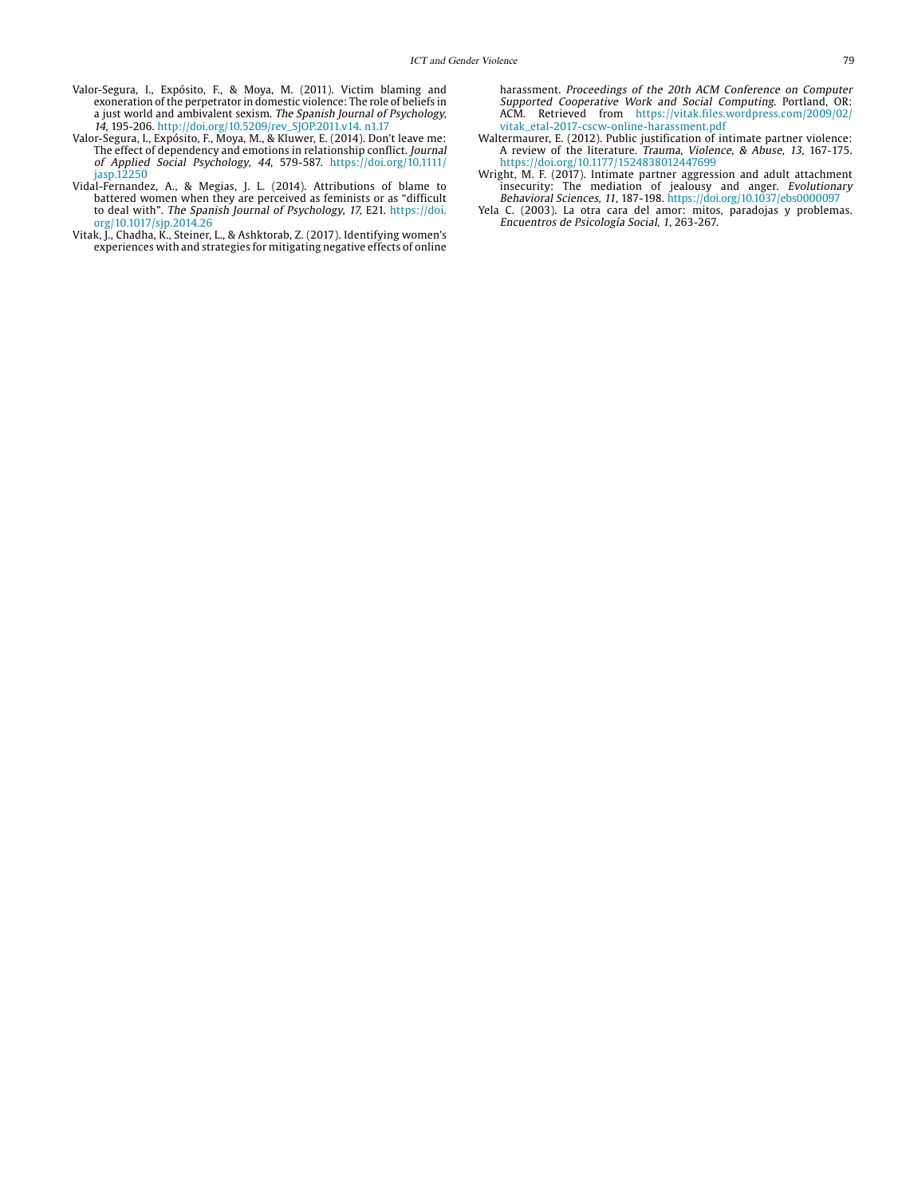- Valor-Segura, I., Expósito, F., & Moya, M. (2011). Victim blaming and exoneration of the perpetrator in domestic violence: The role of beliefs in a just world and ambivalent sexism. The Spanish Journal of Psychology, 14, 195-206. [http://doi.org/10.5209/rev\\_SJOP.2011.v14. n1.17](http://doi.org/10.5209/rev_SJOP.2011.v14. n1.17)
- Valor-Segura, I., Expósito, F., Moya, M., & Kluwer, E. (2014). Don't leave me: The effect of dependency and emotions in relationship conflict. Journal of Applied Social Psychology, 44, 579-587. [https://doi.org/10.1111/](https://doi.org/10.1111/jasp.12250) [jasp.12250](https://doi.org/10.1111/jasp.12250)
- Vidal-Fernandez, A., & Megias, J. L. (2014). Attributions of blame to battered women when they are perceived as feminists or as "difficult to deal with". The Spanish Journal of Psychology, 17, E21. [https://doi.](https://doi.org/10.1017/sjp.2014.26) [org/10.1017/sjp.2014.26](https://doi.org/10.1017/sjp.2014.26)
- Vitak, J., Chadha, K., Steiner, L., & Ashktorab, Z. (2017). Identifying women's experiences with and strategies for mitigating negative effects of online

harassment. Proceedings of the 20th ACM Conference on Computer Supported Cooperative Work and Social Computing. Portland, OR: ACM. Retrieved from [https://vitak.files.wordpress.com/2009/02/](https://vitak.files.wordpress.com/2009/02/vitak_etal-2017-cscw-online-harassment.pdf) [vitak\\_etal-2017-cscw-online-harassment.pdf](https://vitak.files.wordpress.com/2009/02/vitak_etal-2017-cscw-online-harassment.pdf)

- Waltermaurer, E. (2012). Public justification of intimate partner violence: A review of the literature. Trauma, Violence, & Abuse, 13, 167-175. <https://doi.org/10.1177/1524838012447699>
- Wright, M. F. (2017). Intimate partner aggression and adult attachment insecurity: The mediation of jealousy and anger. Evolutionary Behavioral Sciences, 11, 187-198. <https://doi.org/10.1037/ebs0000097>
- Yela C. (2003). La otra cara del amor: mitos, paradojas y problemas. Encuentros de Psicología Social, 1, 263-267.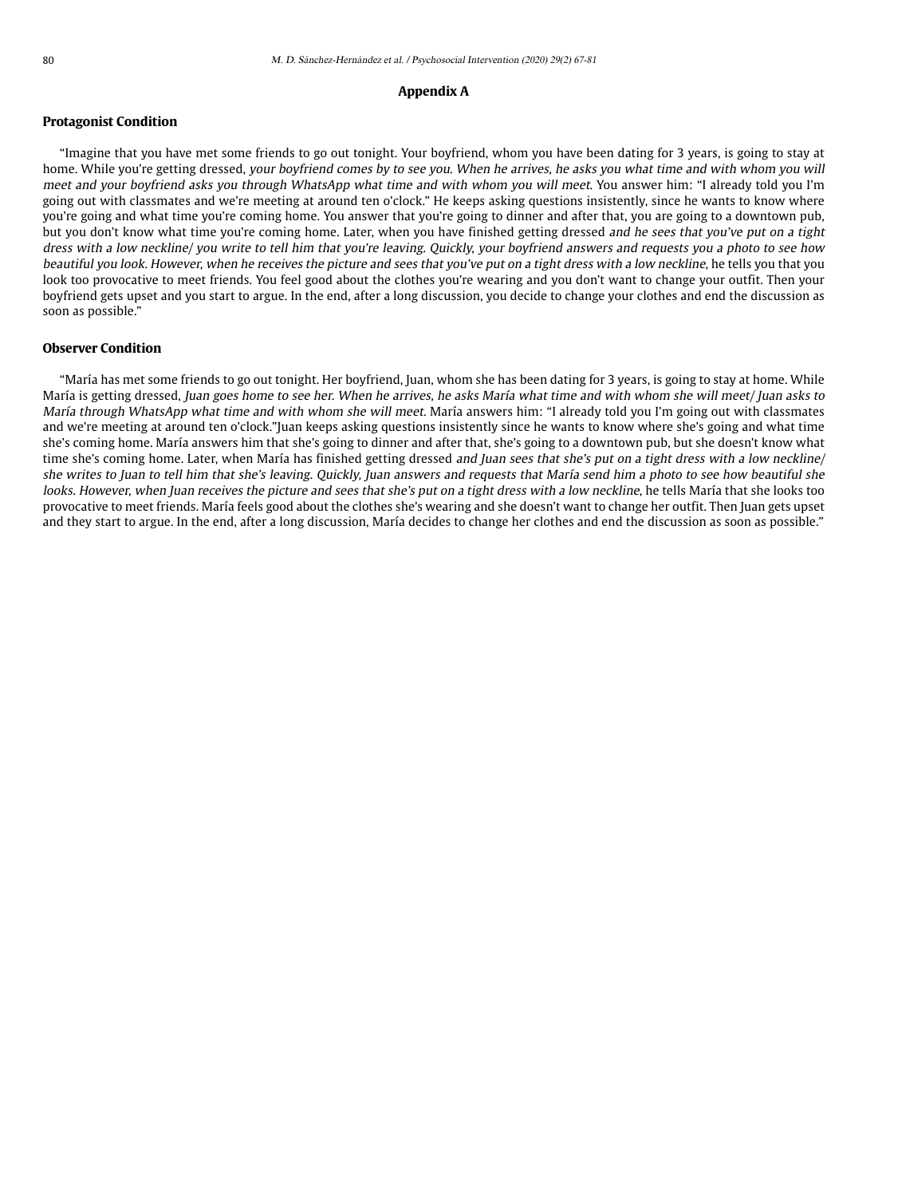## **Appendix A**

## **Protagonist Condition**

"Imagine that you have met some friends to go out tonight. Your boyfriend, whom you have been dating for 3 years, is going to stay at home. While you're getting dressed, your boyfriend comes by to see you. When he arrives, he asks you what time and with whom you will meet and your boyfriend asks you through WhatsApp what time and with whom you will meet. You answer him: "I already told you I'm going out with classmates and we're meeting at around ten o'clock." He keeps asking questions insistently, since he wants to know where you're going and what time you're coming home. You answer that you're going to dinner and after that, you are going to a downtown pub, but you don't know what time you're coming home. Later, when you have finished getting dressed and he sees that you've put on a tight dress with a low neckline/ you write to tell him that you're leaving. Quickly, your boyfriend answers and requests you a photo to see how beautiful you look. However, when he receives the picture and sees that you've put on a tight dress with a low neckline, he tells you that you look too provocative to meet friends. You feel good about the clothes you're wearing and you don't want to change your outfit. Then your boyfriend gets upset and you start to argue. In the end, after a long discussion, you decide to change your clothes and end the discussion as soon as possible."

## **Observer Condition**

"María has met some friends to go out tonight. Her boyfriend, Juan, whom she has been dating for 3 years, is going to stay at home. While María is getting dressed, Juan goes home to see her. When he arrives, he asks María what time and with whom she will meet/ Juan asks to María through WhatsApp what time and with whom she will meet. María answers him: "I already told you I'm going out with classmates and we're meeting at around ten o'clock."Juan keeps asking questions insistently since he wants to know where she's going and what time she's coming home. María answers him that she's going to dinner and after that, she's going to a downtown pub, but she doesn't know what time she's coming home. Later, when María has finished getting dressed and Juan sees that she's put on a tight dress with a low neckline/ she writes to Juan to tell him that she's leaving. Quickly, Juan answers and requests that María send him a photo to see how beautiful she looks. However, when Juan receives the picture and sees that she's put on a tight dress with a low neckline, he tells María that she looks too provocative to meet friends. María feels good about the clothes she's wearing and she doesn't want to change her outfit. Then Juan gets upset and they start to argue. In the end, after a long discussion, María decides to change her clothes and end the discussion as soon as possible."